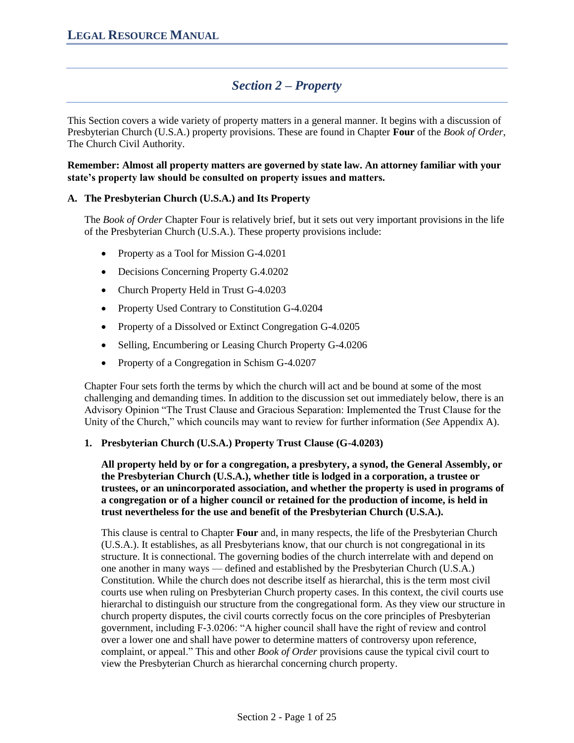# *Section 2 – Property*

This Section covers a wide variety of property matters in a general manner. It begins with a discussion of Presbyterian Church (U.S.A.) property provisions. These are found in Chapter **Four** of the *Book of Order*, The Church Civil Authority.

**Remember: Almost all property matters are governed by state law. An attorney familiar with your state's property law should be consulted on property issues and matters.**

### **A. The Presbyterian Church (U.S.A.) and Its Property**

The *Book of Order* Chapter Four is relatively brief, but it sets out very important provisions in the life of the Presbyterian Church (U.S.A.). These property provisions include:

- Property as a Tool for Mission G-4.0201
- Decisions Concerning Property G.4.0202
- Church Property Held in Trust G-4.0203
- Property Used Contrary to Constitution G-4.0204
- Property of a Dissolved or Extinct Congregation G-4.0205
- Selling, Encumbering or Leasing Church Property G-4.0206
- Property of a Congregation in Schism G-4.0207

Chapter Four sets forth the terms by which the church will act and be bound at some of the most challenging and demanding times. In addition to the discussion set out immediately below, there is an Advisory Opinion "The Trust Clause and Gracious Separation: Implemented the Trust Clause for the Unity of the Church," which councils may want to review for further information (*See* Appendix A).

#### **1. Presbyterian Church (U.S.A.) Property Trust Clause (G-4.0203)**

**All property held by or for a congregation, a presbytery, a synod, the General Assembly, or the Presbyterian Church (U.S.A.), whether title is lodged in a corporation, a trustee or trustees, or an unincorporated association, and whether the property is used in programs of a congregation or of a higher council or retained for the production of income, is held in trust nevertheless for the use and benefit of the Presbyterian Church (U.S.A.).** 

This clause is central to Chapter **Four** and, in many respects, the life of the Presbyterian Church (U.S.A.). It establishes, as all Presbyterians know, that our church is not congregational in its structure. It is connectional. The governing bodies of the church interrelate with and depend on one another in many ways — defined and established by the Presbyterian Church (U.S.A.) Constitution. While the church does not describe itself as hierarchal, this is the term most civil courts use when ruling on Presbyterian Church property cases. In this context, the civil courts use hierarchal to distinguish our structure from the congregational form. As they view our structure in church property disputes, the civil courts correctly focus on the core principles of Presbyterian government, including F-3.0206: "A higher council shall have the right of review and control over a lower one and shall have power to determine matters of controversy upon reference, complaint, or appeal." This and other *Book of Order* provisions cause the typical civil court to view the Presbyterian Church as hierarchal concerning church property.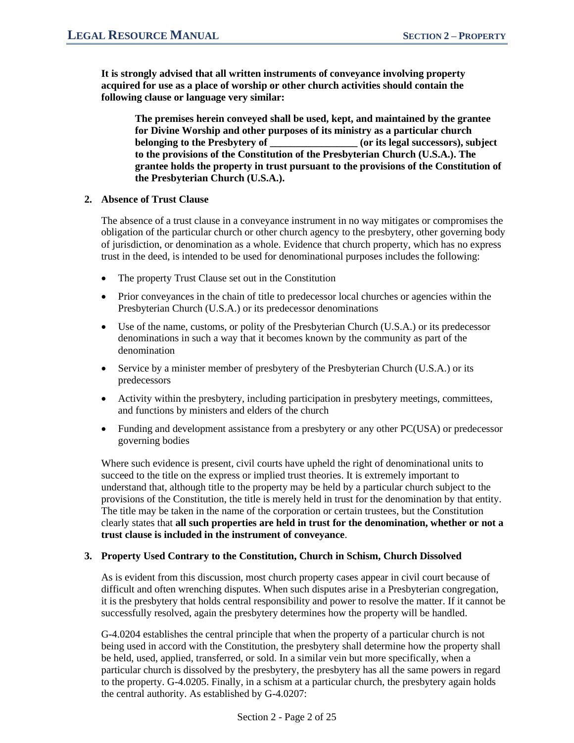**It is strongly advised that all written instruments of conveyance involving property acquired for use as a place of worship or other church activities should contain the following clause or language very similar:**

**The premises herein conveyed shall be used, kept, and maintained by the grantee for Divine Worship and other purposes of its ministry as a particular church belonging to the Presbytery of \_\_\_\_\_\_\_\_\_\_\_\_\_\_\_\_\_ (or its legal successors), subject to the provisions of the Constitution of the Presbyterian Church (U.S.A.). The grantee holds the property in trust pursuant to the provisions of the Constitution of the Presbyterian Church (U.S.A.).**

### **2. Absence of Trust Clause**

The absence of a trust clause in a conveyance instrument in no way mitigates or compromises the obligation of the particular church or other church agency to the presbytery, other governing body of jurisdiction, or denomination as a whole. Evidence that church property, which has no express trust in the deed, is intended to be used for denominational purposes includes the following:

- The property Trust Clause set out in the Constitution
- Prior conveyances in the chain of title to predecessor local churches or agencies within the Presbyterian Church (U.S.A.) or its predecessor denominations
- Use of the name, customs, or polity of the Presbyterian Church (U.S.A.) or its predecessor denominations in such a way that it becomes known by the community as part of the denomination
- Service by a minister member of presbytery of the Presbyterian Church (U.S.A.) or its predecessors
- Activity within the presbytery, including participation in presbytery meetings, committees, and functions by ministers and elders of the church
- Funding and development assistance from a presbytery or any other PC(USA) or predecessor governing bodies

Where such evidence is present, civil courts have upheld the right of denominational units to succeed to the title on the express or implied trust theories. It is extremely important to understand that, although title to the property may be held by a particular church subject to the provisions of the Constitution, the title is merely held in trust for the denomination by that entity. The title may be taken in the name of the corporation or certain trustees, but the Constitution clearly states that **all such properties are held in trust for the denomination, whether or not a trust clause is included in the instrument of conveyance**.

#### **3. Property Used Contrary to the Constitution, Church in Schism, Church Dissolved**

As is evident from this discussion, most church property cases appear in civil court because of difficult and often wrenching disputes. When such disputes arise in a Presbyterian congregation, it is the presbytery that holds central responsibility and power to resolve the matter. If it cannot be successfully resolved, again the presbytery determines how the property will be handled.

G-4.0204 establishes the central principle that when the property of a particular church is not being used in accord with the Constitution, the presbytery shall determine how the property shall be held, used, applied, transferred, or sold. In a similar vein but more specifically, when a particular church is dissolved by the presbytery, the presbytery has all the same powers in regard to the property. G-4.0205. Finally, in a schism at a particular church, the presbytery again holds the central authority. As established by G-4.0207: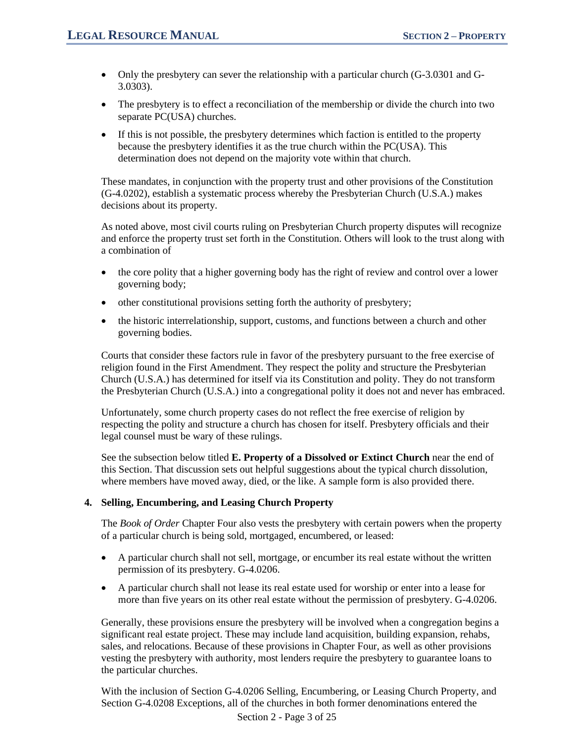- Only the presbytery can sever the relationship with a particular church (G-3.0301 and G-3.0303).
- The presbytery is to effect a reconciliation of the membership or divide the church into two separate PC(USA) churches.
- If this is not possible, the presbytery determines which faction is entitled to the property because the presbytery identifies it as the true church within the PC(USA). This determination does not depend on the majority vote within that church.

These mandates, in conjunction with the property trust and other provisions of the Constitution (G-4.0202), establish a systematic process whereby the Presbyterian Church (U.S.A.) makes decisions about its property.

As noted above, most civil courts ruling on Presbyterian Church property disputes will recognize and enforce the property trust set forth in the Constitution. Others will look to the trust along with a combination of

- the core polity that a higher governing body has the right of review and control over a lower governing body;
- other constitutional provisions setting forth the authority of presbytery;
- the historic interrelationship, support, customs, and functions between a church and other governing bodies.

Courts that consider these factors rule in favor of the presbytery pursuant to the free exercise of religion found in the First Amendment. They respect the polity and structure the Presbyterian Church (U.S.A.) has determined for itself via its Constitution and polity. They do not transform the Presbyterian Church (U.S.A.) into a congregational polity it does not and never has embraced.

Unfortunately, some church property cases do not reflect the free exercise of religion by respecting the polity and structure a church has chosen for itself. Presbytery officials and their legal counsel must be wary of these rulings.

See the subsection below titled **E. Property of a Dissolved or Extinct Church** near the end of this Section. That discussion sets out helpful suggestions about the typical church dissolution, where members have moved away, died, or the like. A sample form is also provided there.

#### **4. Selling, Encumbering, and Leasing Church Property**

The *Book of Order* Chapter Four also vests the presbytery with certain powers when the property of a particular church is being sold, mortgaged, encumbered, or leased:

- A particular church shall not sell, mortgage, or encumber its real estate without the written permission of its presbytery. G-4.0206.
- A particular church shall not lease its real estate used for worship or enter into a lease for more than five years on its other real estate without the permission of presbytery. G-4.0206.

Generally, these provisions ensure the presbytery will be involved when a congregation begins a significant real estate project. These may include land acquisition, building expansion, rehabs, sales, and relocations. Because of these provisions in Chapter Four, as well as other provisions vesting the presbytery with authority, most lenders require the presbytery to guarantee loans to the particular churches.

With the inclusion of Section G-4.0206 Selling, Encumbering, or Leasing Church Property, and Section G-4.0208 Exceptions, all of the churches in both former denominations entered the

Section 2 - Page 3 of 25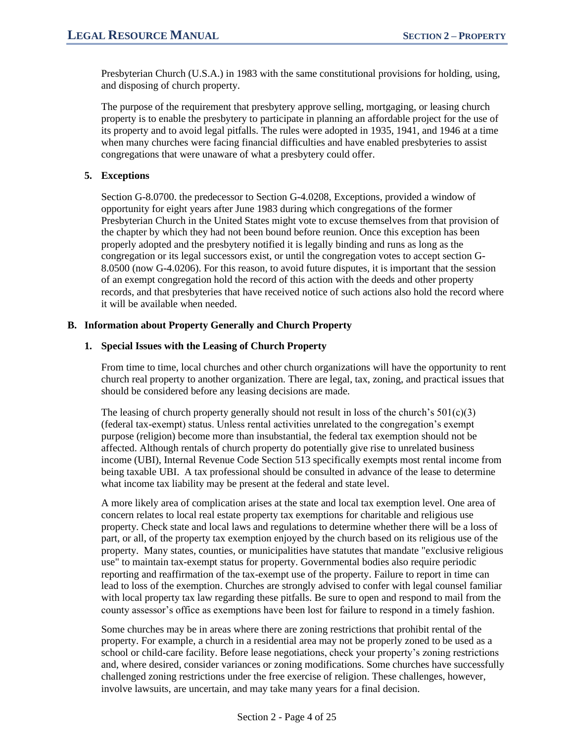Presbyterian Church (U.S.A.) in 1983 with the same constitutional provisions for holding, using, and disposing of church property.

The purpose of the requirement that presbytery approve selling, mortgaging, or leasing church property is to enable the presbytery to participate in planning an affordable project for the use of its property and to avoid legal pitfalls. The rules were adopted in 1935, 1941, and 1946 at a time when many churches were facing financial difficulties and have enabled presbyteries to assist congregations that were unaware of what a presbytery could offer.

### **5. Exceptions**

Section G-8.0700. the predecessor to Section G-4.0208, Exceptions, provided a window of opportunity for eight years after June 1983 during which congregations of the former Presbyterian Church in the United States might vote to excuse themselves from that provision of the chapter by which they had not been bound before reunion. Once this exception has been properly adopted and the presbytery notified it is legally binding and runs as long as the congregation or its legal successors exist, or until the congregation votes to accept section G-8.0500 (now G-4.0206). For this reason, to avoid future disputes, it is important that the session of an exempt congregation hold the record of this action with the deeds and other property records, and that presbyteries that have received notice of such actions also hold the record where it will be available when needed.

### **B. Information about Property Generally and Church Property**

### **1. Special Issues with the Leasing of Church Property**

From time to time, local churches and other church organizations will have the opportunity to rent church real property to another organization. There are legal, tax, zoning, and practical issues that should be considered before any leasing decisions are made.

The leasing of church property generally should not result in loss of the church's  $501(c)(3)$ (federal tax-exempt) status. Unless rental activities unrelated to the congregation's exempt purpose (religion) become more than insubstantial, the federal tax exemption should not be affected. Although rentals of church property do potentially give rise to unrelated business income (UBI), Internal Revenue Code Section 513 specifically exempts most rental income from being taxable UBI. A tax professional should be consulted in advance of the lease to determine what income tax liability may be present at the federal and state level.

A more likely area of complication arises at the state and local tax exemption level. One area of concern relates to local real estate property tax exemptions for charitable and religious use property. Check state and local laws and regulations to determine whether there will be a loss of part, or all, of the property tax exemption enjoyed by the church based on its religious use of the property. Many states, counties, or municipalities have statutes that mandate "exclusive religious use" to maintain tax-exempt status for property. Governmental bodies also require periodic reporting and reaffirmation of the tax-exempt use of the property. Failure to report in time can lead to loss of the exemption. Churches are strongly advised to confer with legal counsel familiar with local property tax law regarding these pitfalls. Be sure to open and respond to mail from the county assessor's office as exemptions have been lost for failure to respond in a timely fashion.

Some churches may be in areas where there are zoning restrictions that prohibit rental of the property. For example, a church in a residential area may not be properly zoned to be used as a school or child-care facility. Before lease negotiations, check your property's zoning restrictions and, where desired, consider variances or zoning modifications. Some churches have successfully challenged zoning restrictions under the free exercise of religion. These challenges, however, involve lawsuits, are uncertain, and may take many years for a final decision.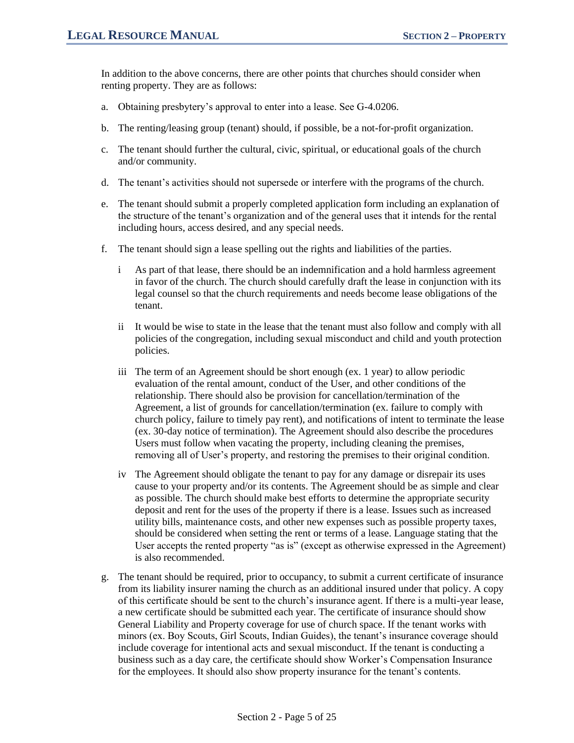In addition to the above concerns, there are other points that churches should consider when renting property. They are as follows:

- a. Obtaining presbytery's approval to enter into a lease. See G-4.0206.
- b. The renting/leasing group (tenant) should, if possible, be a not-for-profit organization.
- c. The tenant should further the cultural, civic, spiritual, or educational goals of the church and/or community.
- d. The tenant's activities should not supersede or interfere with the programs of the church.
- e. The tenant should submit a properly completed application form including an explanation of the structure of the tenant's organization and of the general uses that it intends for the rental including hours, access desired, and any special needs.
- f. The tenant should sign a lease spelling out the rights and liabilities of the parties.
	- i As part of that lease, there should be an indemnification and a hold harmless agreement in favor of the church. The church should carefully draft the lease in conjunction with its legal counsel so that the church requirements and needs become lease obligations of the tenant.
	- ii It would be wise to state in the lease that the tenant must also follow and comply with all policies of the congregation, including sexual misconduct and child and youth protection policies.
	- iii The term of an Agreement should be short enough (ex. 1 year) to allow periodic evaluation of the rental amount, conduct of the User, and other conditions of the relationship. There should also be provision for cancellation/termination of the Agreement, a list of grounds for cancellation/termination (ex. failure to comply with church policy, failure to timely pay rent), and notifications of intent to terminate the lease (ex. 30-day notice of termination). The Agreement should also describe the procedures Users must follow when vacating the property, including cleaning the premises, removing all of User's property, and restoring the premises to their original condition.
	- iv The Agreement should obligate the tenant to pay for any damage or disrepair its uses cause to your property and/or its contents. The Agreement should be as simple and clear as possible. The church should make best efforts to determine the appropriate security deposit and rent for the uses of the property if there is a lease. Issues such as increased utility bills, maintenance costs, and other new expenses such as possible property taxes, should be considered when setting the rent or terms of a lease. Language stating that the User accepts the rented property "as is" (except as otherwise expressed in the Agreement) is also recommended.
- g. The tenant should be required, prior to occupancy, to submit a current certificate of insurance from its liability insurer naming the church as an additional insured under that policy. A copy of this certificate should be sent to the church's insurance agent. If there is a multi-year lease, a new certificate should be submitted each year. The certificate of insurance should show General Liability and Property coverage for use of church space. If the tenant works with minors (ex. Boy Scouts, Girl Scouts, Indian Guides), the tenant's insurance coverage should include coverage for intentional acts and sexual misconduct. If the tenant is conducting a business such as a day care, the certificate should show Worker's Compensation Insurance for the employees. It should also show property insurance for the tenant's contents.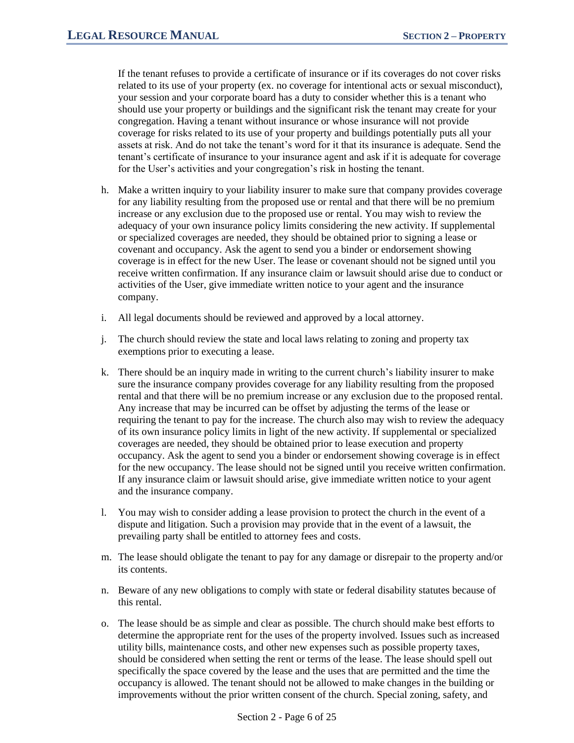If the tenant refuses to provide a certificate of insurance or if its coverages do not cover risks related to its use of your property (ex. no coverage for intentional acts or sexual misconduct), your session and your corporate board has a duty to consider whether this is a tenant who should use your property or buildings and the significant risk the tenant may create for your congregation. Having a tenant without insurance or whose insurance will not provide coverage for risks related to its use of your property and buildings potentially puts all your assets at risk. And do not take the tenant's word for it that its insurance is adequate. Send the tenant's certificate of insurance to your insurance agent and ask if it is adequate for coverage for the User's activities and your congregation's risk in hosting the tenant.

- h. Make a written inquiry to your liability insurer to make sure that company provides coverage for any liability resulting from the proposed use or rental and that there will be no premium increase or any exclusion due to the proposed use or rental. You may wish to review the adequacy of your own insurance policy limits considering the new activity. If supplemental or specialized coverages are needed, they should be obtained prior to signing a lease or covenant and occupancy. Ask the agent to send you a binder or endorsement showing coverage is in effect for the new User. The lease or covenant should not be signed until you receive written confirmation. If any insurance claim or lawsuit should arise due to conduct or activities of the User, give immediate written notice to your agent and the insurance company.
- i. All legal documents should be reviewed and approved by a local attorney.
- j. The church should review the state and local laws relating to zoning and property tax exemptions prior to executing a lease.
- k. There should be an inquiry made in writing to the current church's liability insurer to make sure the insurance company provides coverage for any liability resulting from the proposed rental and that there will be no premium increase or any exclusion due to the proposed rental. Any increase that may be incurred can be offset by adjusting the terms of the lease or requiring the tenant to pay for the increase. The church also may wish to review the adequacy of its own insurance policy limits in light of the new activity. If supplemental or specialized coverages are needed, they should be obtained prior to lease execution and property occupancy. Ask the agent to send you a binder or endorsement showing coverage is in effect for the new occupancy. The lease should not be signed until you receive written confirmation. If any insurance claim or lawsuit should arise, give immediate written notice to your agent and the insurance company.
- l. You may wish to consider adding a lease provision to protect the church in the event of a dispute and litigation. Such a provision may provide that in the event of a lawsuit, the prevailing party shall be entitled to attorney fees and costs.
- m. The lease should obligate the tenant to pay for any damage or disrepair to the property and/or its contents.
- n. Beware of any new obligations to comply with state or federal disability statutes because of this rental.
- o. The lease should be as simple and clear as possible. The church should make best efforts to determine the appropriate rent for the uses of the property involved. Issues such as increased utility bills, maintenance costs, and other new expenses such as possible property taxes, should be considered when setting the rent or terms of the lease. The lease should spell out specifically the space covered by the lease and the uses that are permitted and the time the occupancy is allowed. The tenant should not be allowed to make changes in the building or improvements without the prior written consent of the church. Special zoning, safety, and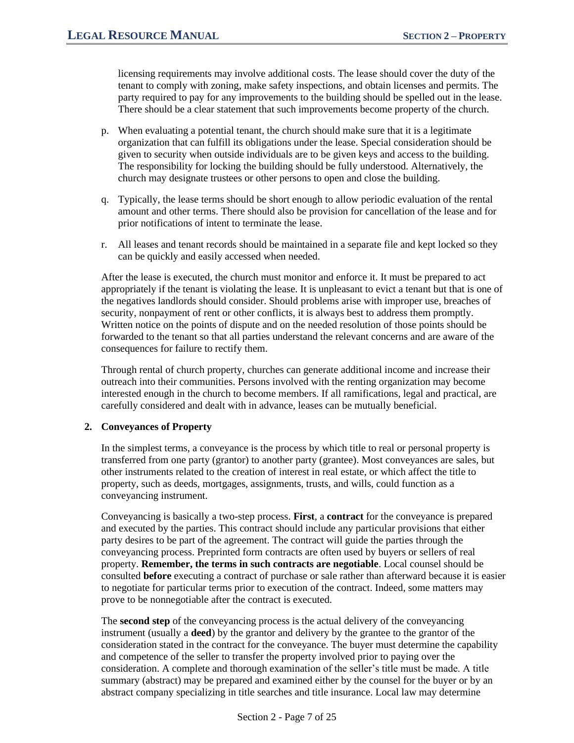licensing requirements may involve additional costs. The lease should cover the duty of the tenant to comply with zoning, make safety inspections, and obtain licenses and permits. The party required to pay for any improvements to the building should be spelled out in the lease. There should be a clear statement that such improvements become property of the church.

- p. When evaluating a potential tenant, the church should make sure that it is a legitimate organization that can fulfill its obligations under the lease. Special consideration should be given to security when outside individuals are to be given keys and access to the building. The responsibility for locking the building should be fully understood. Alternatively, the church may designate trustees or other persons to open and close the building.
- q. Typically, the lease terms should be short enough to allow periodic evaluation of the rental amount and other terms. There should also be provision for cancellation of the lease and for prior notifications of intent to terminate the lease.
- r. All leases and tenant records should be maintained in a separate file and kept locked so they can be quickly and easily accessed when needed.

After the lease is executed, the church must monitor and enforce it. It must be prepared to act appropriately if the tenant is violating the lease. It is unpleasant to evict a tenant but that is one of the negatives landlords should consider. Should problems arise with improper use, breaches of security, nonpayment of rent or other conflicts, it is always best to address them promptly. Written notice on the points of dispute and on the needed resolution of those points should be forwarded to the tenant so that all parties understand the relevant concerns and are aware of the consequences for failure to rectify them.

Through rental of church property, churches can generate additional income and increase their outreach into their communities. Persons involved with the renting organization may become interested enough in the church to become members. If all ramifications, legal and practical, are carefully considered and dealt with in advance, leases can be mutually beneficial.

#### **2. Conveyances of Property**

In the simplest terms, a conveyance is the process by which title to real or personal property is transferred from one party (grantor) to another party (grantee). Most conveyances are sales, but other instruments related to the creation of interest in real estate, or which affect the title to property, such as deeds, mortgages, assignments, trusts, and wills, could function as a conveyancing instrument.

Conveyancing is basically a two-step process. **First**, a **contract** for the conveyance is prepared and executed by the parties. This contract should include any particular provisions that either party desires to be part of the agreement. The contract will guide the parties through the conveyancing process. Preprinted form contracts are often used by buyers or sellers of real property. **Remember, the terms in such contracts are negotiable**. Local counsel should be consulted **before** executing a contract of purchase or sale rather than afterward because it is easier to negotiate for particular terms prior to execution of the contract. Indeed, some matters may prove to be nonnegotiable after the contract is executed.

The **second step** of the conveyancing process is the actual delivery of the conveyancing instrument (usually a **deed**) by the grantor and delivery by the grantee to the grantor of the consideration stated in the contract for the conveyance. The buyer must determine the capability and competence of the seller to transfer the property involved prior to paying over the consideration. A complete and thorough examination of the seller's title must be made. A title summary (abstract) may be prepared and examined either by the counsel for the buyer or by an abstract company specializing in title searches and title insurance. Local law may determine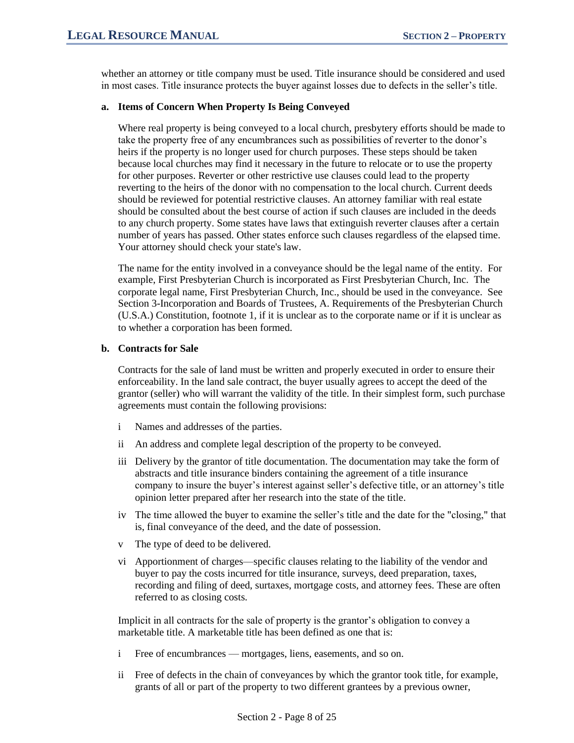whether an attorney or title company must be used. Title insurance should be considered and used in most cases. Title insurance protects the buyer against losses due to defects in the seller's title.

#### **a. Items of Concern When Property Is Being Conveyed**

Where real property is being conveyed to a local church, presbytery efforts should be made to take the property free of any encumbrances such as possibilities of reverter to the donor's heirs if the property is no longer used for church purposes. These steps should be taken because local churches may find it necessary in the future to relocate or to use the property for other purposes. Reverter or other restrictive use clauses could lead to the property reverting to the heirs of the donor with no compensation to the local church. Current deeds should be reviewed for potential restrictive clauses. An attorney familiar with real estate should be consulted about the best course of action if such clauses are included in the deeds to any church property. Some states have laws that extinguish reverter clauses after a certain number of years has passed. Other states enforce such clauses regardless of the elapsed time. Your attorney should check your state's law.

The name for the entity involved in a conveyance should be the legal name of the entity. For example, First Presbyterian Church is incorporated as First Presbyterian Church, Inc. The corporate legal name, First Presbyterian Church, Inc., should be used in the conveyance. See Section 3-Incorporation and Boards of Trustees, A. Requirements of the Presbyterian Church (U.S.A.) Constitution, footnote 1, if it is unclear as to the corporate name or if it is unclear as to whether a corporation has been formed.

#### **b. Contracts for Sale**

Contracts for the sale of land must be written and properly executed in order to ensure their enforceability. In the land sale contract, the buyer usually agrees to accept the deed of the grantor (seller) who will warrant the validity of the title. In their simplest form, such purchase agreements must contain the following provisions:

- i Names and addresses of the parties.
- ii An address and complete legal description of the property to be conveyed.
- iii Delivery by the grantor of title documentation. The documentation may take the form of abstracts and title insurance binders containing the agreement of a title insurance company to insure the buyer's interest against seller's defective title, or an attorney's title opinion letter prepared after her research into the state of the title.
- iv The time allowed the buyer to examine the seller's title and the date for the "closing," that is, final conveyance of the deed, and the date of possession.
- v The type of deed to be delivered.
- vi Apportionment of charges—specific clauses relating to the liability of the vendor and buyer to pay the costs incurred for title insurance, surveys, deed preparation, taxes, recording and filing of deed, surtaxes, mortgage costs, and attorney fees. These are often referred to as closing costs.

Implicit in all contracts for the sale of property is the grantor's obligation to convey a marketable title. A marketable title has been defined as one that is:

- i Free of encumbrances mortgages, liens, easements, and so on.
- ii Free of defects in the chain of conveyances by which the grantor took title, for example, grants of all or part of the property to two different grantees by a previous owner,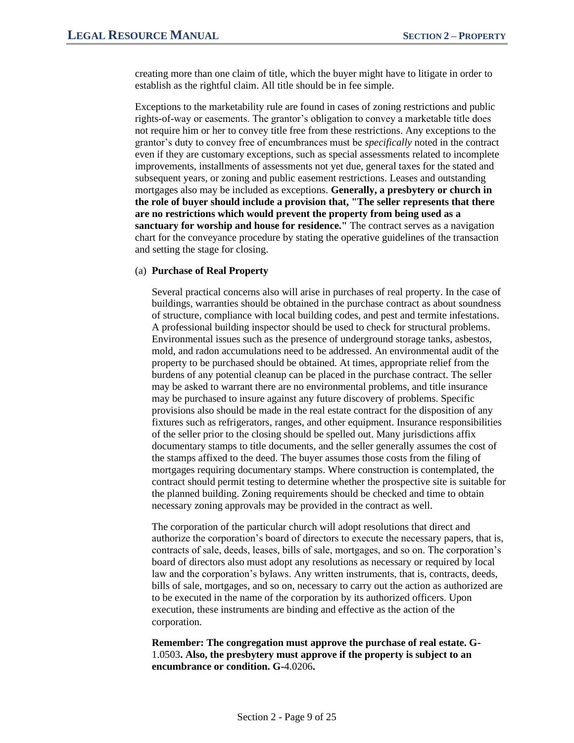creating more than one claim of title, which the buyer might have to litigate in order to establish as the rightful claim. All title should be in fee simple.

Exceptions to the marketability rule are found in cases of zoning restrictions and public rights-of-way or easements. The grantor's obligation to convey a marketable title does not require him or her to convey title free from these restrictions. Any exceptions to the grantor's duty to convey free of encumbrances must be *specifically* noted in the contract even if they are customary exceptions, such as special assessments related to incomplete improvements, installments of assessments not yet due, general taxes for the stated and subsequent years, or zoning and public easement restrictions. Leases and outstanding mortgages also may be included as exceptions. **Generally, a presbytery or church in the role of buyer should include a provision that, "The seller represents that there are no restrictions which would prevent the property from being used as a sanctuary for worship and house for residence."** The contract serves as a navigation chart for the conveyance procedure by stating the operative guidelines of the transaction and setting the stage for closing.

#### (a) **Purchase of Real Property**

Several practical concerns also will arise in purchases of real property. In the case of buildings, warranties should be obtained in the purchase contract as about soundness of structure, compliance with local building codes, and pest and termite infestations. A professional building inspector should be used to check for structural problems. Environmental issues such as the presence of underground storage tanks, asbestos, mold, and radon accumulations need to be addressed. An environmental audit of the property to be purchased should be obtained. At times, appropriate relief from the burdens of any potential cleanup can be placed in the purchase contract. The seller may be asked to warrant there are no environmental problems, and title insurance may be purchased to insure against any future discovery of problems. Specific provisions also should be made in the real estate contract for the disposition of any fixtures such as refrigerators, ranges, and other equipment. Insurance responsibilities of the seller prior to the closing should be spelled out. Many jurisdictions affix documentary stamps to title documents, and the seller generally assumes the cost of the stamps affixed to the deed. The buyer assumes those costs from the filing of mortgages requiring documentary stamps. Where construction is contemplated, the contract should permit testing to determine whether the prospective site is suitable for the planned building. Zoning requirements should be checked and time to obtain necessary zoning approvals may be provided in the contract as well.

The corporation of the particular church will adopt resolutions that direct and authorize the corporation's board of directors to execute the necessary papers, that is, contracts of sale, deeds, leases, bills of sale, mortgages, and so on. The corporation's board of directors also must adopt any resolutions as necessary or required by local law and the corporation's bylaws. Any written instruments, that is, contracts, deeds, bills of sale, mortgages, and so on, necessary to carry out the action as authorized are to be executed in the name of the corporation by its authorized officers. Upon execution, these instruments are binding and effective as the action of the corporation.

**Remember: The congregation must approve the purchase of real estate. G-**1.0503**. Also, the presbytery must approve if the property is subject to an encumbrance or condition. G-**4.0206**.**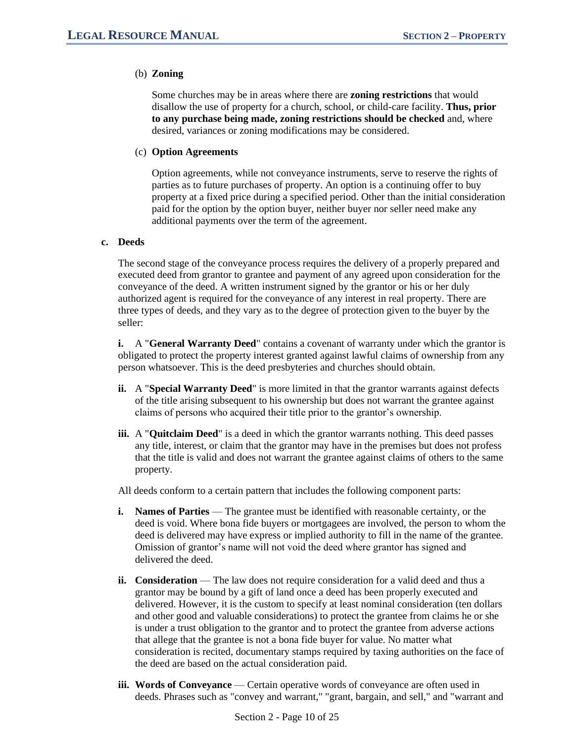### (b) **Zoning**

Some churches may be in areas where there are **zoning restrictions** that would disallow the use of property for a church, school, or child-care facility. **Thus, prior to any purchase being made, zoning restrictions should be checked** and, where desired, variances or zoning modifications may be considered.

#### (c) **Option Agreements**

Option agreements, while not conveyance instruments, serve to reserve the rights of parties as to future purchases of property. An option is a continuing offer to buy property at a fixed price during a specified period. Other than the initial consideration paid for the option by the option buyer, neither buyer nor seller need make any additional payments over the term of the agreement.

#### **c. Deeds**

The second stage of the conveyance process requires the delivery of a properly prepared and executed deed from grantor to grantee and payment of any agreed upon consideration for the conveyance of the deed. A written instrument signed by the grantor or his or her duly authorized agent is required for the conveyance of any interest in real property. There are three types of deeds, and they vary as to the degree of protection given to the buyer by the seller:

**i.** A "**General Warranty Deed**" contains a covenant of warranty under which the grantor is obligated to protect the property interest granted against lawful claims of ownership from any person whatsoever. This is the deed presbyteries and churches should obtain.

- **ii.** A "**Special Warranty Deed**" is more limited in that the grantor warrants against defects of the title arising subsequent to his ownership but does not warrant the grantee against claims of persons who acquired their title prior to the grantor's ownership.
- **iii.** A "**Quitclaim Deed**" is a deed in which the grantor warrants nothing. This deed passes any title, interest, or claim that the grantor may have in the premises but does not profess that the title is valid and does not warrant the grantee against claims of others to the same property.

All deeds conform to a certain pattern that includes the following component parts:

- **i. Names of Parties** The grantee must be identified with reasonable certainty, or the deed is void. Where bona fide buyers or mortgagees are involved, the person to whom the deed is delivered may have express or implied authority to fill in the name of the grantee. Omission of grantor's name will not void the deed where grantor has signed and delivered the deed.
- **ii. Consideration** The law does not require consideration for a valid deed and thus a grantor may be bound by a gift of land once a deed has been properly executed and delivered. However, it is the custom to specify at least nominal consideration (ten dollars and other good and valuable considerations) to protect the grantee from claims he or she is under a trust obligation to the grantor and to protect the grantee from adverse actions that allege that the grantee is not a bona fide buyer for value. No matter what consideration is recited, documentary stamps required by taxing authorities on the face of the deed are based on the actual consideration paid.
- **iii. Words of Conveyance** Certain operative words of conveyance are often used in deeds. Phrases such as "convey and warrant," "grant, bargain, and sell," and "warrant and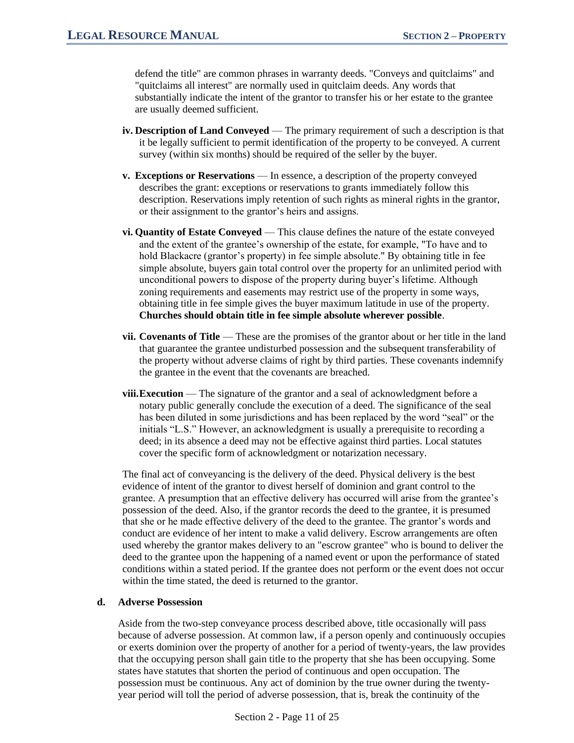defend the title" are common phrases in warranty deeds. "Conveys and quitclaims" and "quitclaims all interest" are normally used in quitclaim deeds. Any words that substantially indicate the intent of the grantor to transfer his or her estate to the grantee are usually deemed sufficient.

- **iv. Description of Land Conveyed** The primary requirement of such a description is that it be legally sufficient to permit identification of the property to be conveyed. A current survey (within six months) should be required of the seller by the buyer.
- **v. Exceptions or Reservations** In essence, a description of the property conveyed describes the grant: exceptions or reservations to grants immediately follow this description. Reservations imply retention of such rights as mineral rights in the grantor, or their assignment to the grantor's heirs and assigns.
- **vi. Quantity of Estate Conveyed** This clause defines the nature of the estate conveyed and the extent of the grantee's ownership of the estate, for example, "To have and to hold Blackacre (grantor's property) in fee simple absolute." By obtaining title in fee simple absolute, buyers gain total control over the property for an unlimited period with unconditional powers to dispose of the property during buyer's lifetime. Although zoning requirements and easements may restrict use of the property in some ways, obtaining title in fee simple gives the buyer maximum latitude in use of the property. **Churches should obtain title in fee simple absolute wherever possible**.
- **vii. Covenants of Title** These are the promises of the grantor about or her title in the land that guarantee the grantee undisturbed possession and the subsequent transferability of the property without adverse claims of right by third parties. These covenants indemnify the grantee in the event that the covenants are breached.
- **viii.Execution** The signature of the grantor and a seal of acknowledgment before a notary public generally conclude the execution of a deed. The significance of the seal has been diluted in some jurisdictions and has been replaced by the word "seal" or the initials "L.S." However, an acknowledgment is usually a prerequisite to recording a deed; in its absence a deed may not be effective against third parties. Local statutes cover the specific form of acknowledgment or notarization necessary.

The final act of conveyancing is the delivery of the deed. Physical delivery is the best evidence of intent of the grantor to divest herself of dominion and grant control to the grantee. A presumption that an effective delivery has occurred will arise from the grantee's possession of the deed. Also, if the grantor records the deed to the grantee, it is presumed that she or he made effective delivery of the deed to the grantee. The grantor's words and conduct are evidence of her intent to make a valid delivery. Escrow arrangements are often used whereby the grantor makes delivery to an "escrow grantee" who is bound to deliver the deed to the grantee upon the happening of a named event or upon the performance of stated conditions within a stated period. If the grantee does not perform or the event does not occur within the time stated, the deed is returned to the grantor.

#### **d. Adverse Possession**

Aside from the two-step conveyance process described above, title occasionally will pass because of adverse possession. At common law, if a person openly and continuously occupies or exerts dominion over the property of another for a period of twenty-years, the law provides that the occupying person shall gain title to the property that she has been occupying. Some states have statutes that shorten the period of continuous and open occupation. The possession must be continuous. Any act of dominion by the true owner during the twentyyear period will toll the period of adverse possession, that is, break the continuity of the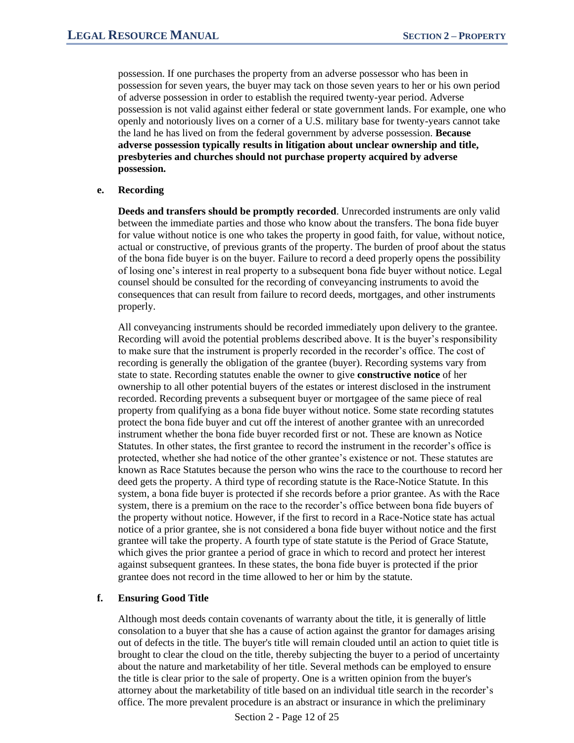possession. If one purchases the property from an adverse possessor who has been in possession for seven years, the buyer may tack on those seven years to her or his own period of adverse possession in order to establish the required twenty-year period. Adverse possession is not valid against either federal or state government lands. For example, one who openly and notoriously lives on a corner of a U.S. military base for twenty-years cannot take the land he has lived on from the federal government by adverse possession. **Because adverse possession typically results in litigation about unclear ownership and title, presbyteries and churches should not purchase property acquired by adverse possession.**

#### **e. Recording**

**Deeds and transfers should be promptly recorded**. Unrecorded instruments are only valid between the immediate parties and those who know about the transfers. The bona fide buyer for value without notice is one who takes the property in good faith, for value, without notice, actual or constructive, of previous grants of the property. The burden of proof about the status of the bona fide buyer is on the buyer. Failure to record a deed properly opens the possibility of losing one's interest in real property to a subsequent bona fide buyer without notice. Legal counsel should be consulted for the recording of conveyancing instruments to avoid the consequences that can result from failure to record deeds, mortgages, and other instruments properly.

All conveyancing instruments should be recorded immediately upon delivery to the grantee. Recording will avoid the potential problems described above. It is the buyer's responsibility to make sure that the instrument is properly recorded in the recorder's office. The cost of recording is generally the obligation of the grantee (buyer). Recording systems vary from state to state. Recording statutes enable the owner to give **constructive notice** of her ownership to all other potential buyers of the estates or interest disclosed in the instrument recorded. Recording prevents a subsequent buyer or mortgagee of the same piece of real property from qualifying as a bona fide buyer without notice. Some state recording statutes protect the bona fide buyer and cut off the interest of another grantee with an unrecorded instrument whether the bona fide buyer recorded first or not. These are known as Notice Statutes. In other states, the first grantee to record the instrument in the recorder's office is protected, whether she had notice of the other grantee's existence or not. These statutes are known as Race Statutes because the person who wins the race to the courthouse to record her deed gets the property. A third type of recording statute is the Race-Notice Statute. In this system, a bona fide buyer is protected if she records before a prior grantee. As with the Race system, there is a premium on the race to the recorder's office between bona fide buyers of the property without notice. However, if the first to record in a Race-Notice state has actual notice of a prior grantee, she is not considered a bona fide buyer without notice and the first grantee will take the property. A fourth type of state statute is the Period of Grace Statute, which gives the prior grantee a period of grace in which to record and protect her interest against subsequent grantees. In these states, the bona fide buyer is protected if the prior grantee does not record in the time allowed to her or him by the statute.

#### **f. Ensuring Good Title**

Although most deeds contain covenants of warranty about the title, it is generally of little consolation to a buyer that she has a cause of action against the grantor for damages arising out of defects in the title. The buyer's title will remain clouded until an action to quiet title is brought to clear the cloud on the title, thereby subjecting the buyer to a period of uncertainty about the nature and marketability of her title. Several methods can be employed to ensure the title is clear prior to the sale of property. One is a written opinion from the buyer's attorney about the marketability of title based on an individual title search in the recorder's office. The more prevalent procedure is an abstract or insurance in which the preliminary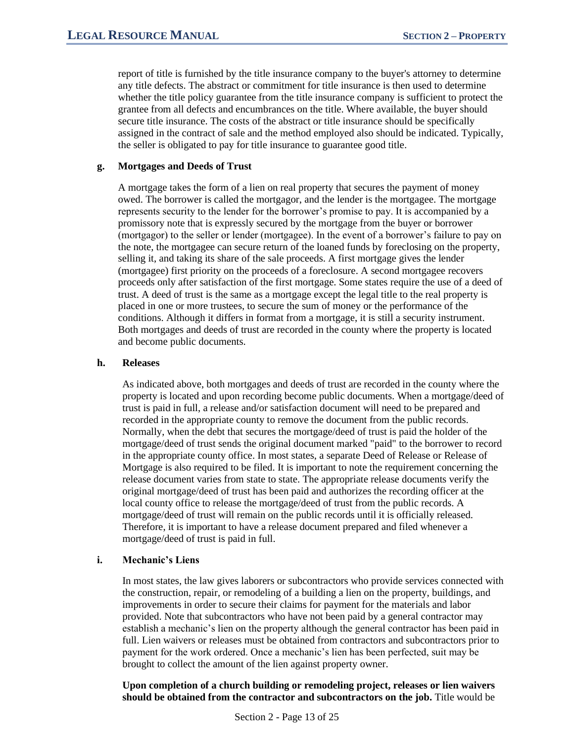report of title is furnished by the title insurance company to the buyer's attorney to determine any title defects. The abstract or commitment for title insurance is then used to determine whether the title policy guarantee from the title insurance company is sufficient to protect the grantee from all defects and encumbrances on the title. Where available, the buyer should secure title insurance. The costs of the abstract or title insurance should be specifically assigned in the contract of sale and the method employed also should be indicated. Typically, the seller is obligated to pay for title insurance to guarantee good title.

#### **g. Mortgages and Deeds of Trust**

A mortgage takes the form of a lien on real property that secures the payment of money owed. The borrower is called the mortgagor, and the lender is the mortgagee. The mortgage represents security to the lender for the borrower's promise to pay. It is accompanied by a promissory note that is expressly secured by the mortgage from the buyer or borrower (mortgagor) to the seller or lender (mortgagee). In the event of a borrower's failure to pay on the note, the mortgagee can secure return of the loaned funds by foreclosing on the property, selling it, and taking its share of the sale proceeds. A first mortgage gives the lender (mortgagee) first priority on the proceeds of a foreclosure. A second mortgagee recovers proceeds only after satisfaction of the first mortgage. Some states require the use of a deed of trust. A deed of trust is the same as a mortgage except the legal title to the real property is placed in one or more trustees, to secure the sum of money or the performance of the conditions. Although it differs in format from a mortgage, it is still a security instrument. Both mortgages and deeds of trust are recorded in the county where the property is located and become public documents.

#### **h. Releases**

As indicated above, both mortgages and deeds of trust are recorded in the county where the property is located and upon recording become public documents. When a mortgage/deed of trust is paid in full, a release and/or satisfaction document will need to be prepared and recorded in the appropriate county to remove the document from the public records. Normally, when the debt that secures the mortgage/deed of trust is paid the holder of the mortgage/deed of trust sends the original document marked "paid" to the borrower to record in the appropriate county office. In most states, a separate Deed of Release or Release of Mortgage is also required to be filed. It is important to note the requirement concerning the release document varies from state to state. The appropriate release documents verify the original mortgage/deed of trust has been paid and authorizes the recording officer at the local county office to release the mortgage/deed of trust from the public records. A mortgage/deed of trust will remain on the public records until it is officially released. Therefore, it is important to have a release document prepared and filed whenever a mortgage/deed of trust is paid in full.

#### **i. Mechanic's Liens**

In most states, the law gives laborers or subcontractors who provide services connected with the construction, repair, or remodeling of a building a lien on the property, buildings, and improvements in order to secure their claims for payment for the materials and labor provided. Note that subcontractors who have not been paid by a general contractor may establish a mechanic's lien on the property although the general contractor has been paid in full. Lien waivers or releases must be obtained from contractors and subcontractors prior to payment for the work ordered. Once a mechanic's lien has been perfected, suit may be brought to collect the amount of the lien against property owner.

**Upon completion of a church building or remodeling project, releases or lien waivers should be obtained from the contractor and subcontractors on the job.** Title would be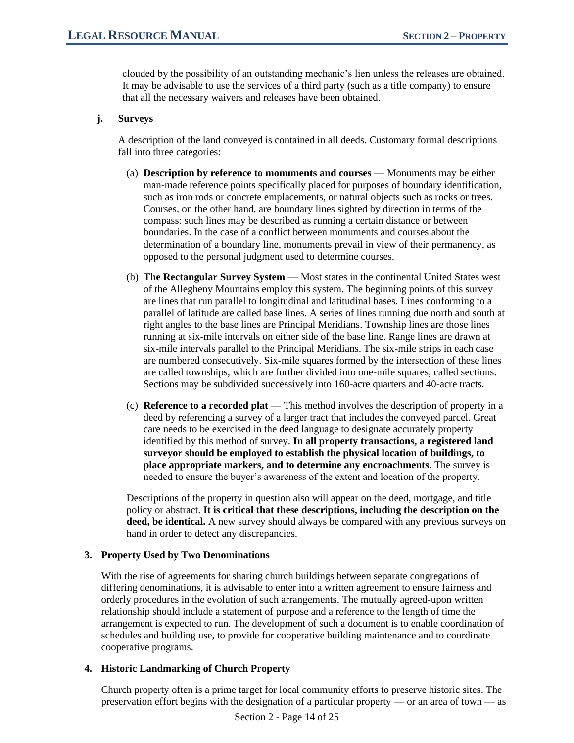clouded by the possibility of an outstanding mechanic's lien unless the releases are obtained. It may be advisable to use the services of a third party (such as a title company) to ensure that all the necessary waivers and releases have been obtained.

#### **j. Surveys**

A description of the land conveyed is contained in all deeds. Customary formal descriptions fall into three categories:

- (a) **Description by reference to monuments and courses** Monuments may be either man-made reference points specifically placed for purposes of boundary identification, such as iron rods or concrete emplacements, or natural objects such as rocks or trees. Courses, on the other hand, are boundary lines sighted by direction in terms of the compass: such lines may be described as running a certain distance or between boundaries. In the case of a conflict between monuments and courses about the determination of a boundary line, monuments prevail in view of their permanency, as opposed to the personal judgment used to determine courses.
- (b) **The Rectangular Survey System** Most states in the continental United States west of the Allegheny Mountains employ this system. The beginning points of this survey are lines that run parallel to longitudinal and latitudinal bases. Lines conforming to a parallel of latitude are called base lines. A series of lines running due north and south at right angles to the base lines are Principal Meridians. Township lines are those lines running at six-mile intervals on either side of the base line. Range lines are drawn at six-mile intervals parallel to the Principal Meridians. The six-mile strips in each case are numbered consecutively. Six-mile squares formed by the intersection of these lines are called townships, which are further divided into one-mile squares, called sections. Sections may be subdivided successively into 160-acre quarters and 40-acre tracts.
- (c) **Reference to a recorded plat** This method involves the description of property in a deed by referencing a survey of a larger tract that includes the conveyed parcel. Great care needs to be exercised in the deed language to designate accurately property identified by this method of survey. **In all property transactions, a registered land surveyor should be employed to establish the physical location of buildings, to place appropriate markers, and to determine any encroachments.** The survey is needed to ensure the buyer's awareness of the extent and location of the property.

Descriptions of the property in question also will appear on the deed, mortgage, and title policy or abstract. **It is critical that these descriptions, including the description on the**  deed, be identical. A new survey should always be compared with any previous surveys on hand in order to detect any discrepancies.

#### **3. Property Used by Two Denominations**

With the rise of agreements for sharing church buildings between separate congregations of differing denominations, it is advisable to enter into a written agreement to ensure fairness and orderly procedures in the evolution of such arrangements. The mutually agreed-upon written relationship should include a statement of purpose and a reference to the length of time the arrangement is expected to run. The development of such a document is to enable coordination of schedules and building use, to provide for cooperative building maintenance and to coordinate cooperative programs.

# **4. Historic Landmarking of Church Property**

Church property often is a prime target for local community efforts to preserve historic sites. The preservation effort begins with the designation of a particular property — or an area of town — as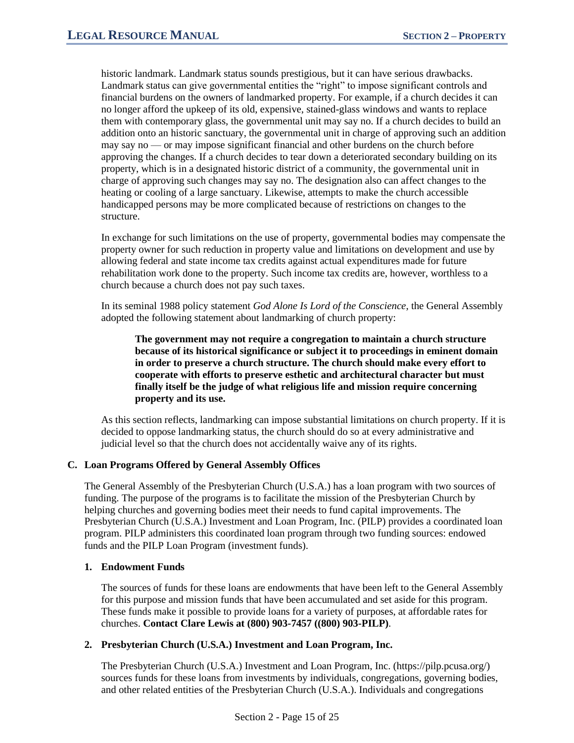historic landmark. Landmark status sounds prestigious, but it can have serious drawbacks. Landmark status can give governmental entities the "right" to impose significant controls and financial burdens on the owners of landmarked property. For example, if a church decides it can no longer afford the upkeep of its old, expensive, stained-glass windows and wants to replace them with contemporary glass, the governmental unit may say no. If a church decides to build an addition onto an historic sanctuary, the governmental unit in charge of approving such an addition may say no — or may impose significant financial and other burdens on the church before approving the changes. If a church decides to tear down a deteriorated secondary building on its property, which is in a designated historic district of a community, the governmental unit in charge of approving such changes may say no. The designation also can affect changes to the heating or cooling of a large sanctuary. Likewise, attempts to make the church accessible handicapped persons may be more complicated because of restrictions on changes to the structure.

In exchange for such limitations on the use of property, governmental bodies may compensate the property owner for such reduction in property value and limitations on development and use by allowing federal and state income tax credits against actual expenditures made for future rehabilitation work done to the property. Such income tax credits are, however, worthless to a church because a church does not pay such taxes.

In its seminal 1988 policy statement *God Alone Is Lord of the Conscience*, the General Assembly adopted the following statement about landmarking of church property:

**The government may not require a congregation to maintain a church structure because of its historical significance or subject it to proceedings in eminent domain in order to preserve a church structure. The church should make every effort to cooperate with efforts to preserve esthetic and architectural character but must finally itself be the judge of what religious life and mission require concerning property and its use.** 

As this section reflects, landmarking can impose substantial limitations on church property. If it is decided to oppose landmarking status, the church should do so at every administrative and judicial level so that the church does not accidentally waive any of its rights.

#### **C. Loan Programs Offered by General Assembly Offices**

The General Assembly of the Presbyterian Church (U.S.A.) has a loan program with two sources of funding. The purpose of the programs is to facilitate the mission of the Presbyterian Church by helping churches and governing bodies meet their needs to fund capital improvements. The Presbyterian Church (U.S.A.) Investment and Loan Program, Inc. (PILP) provides a coordinated loan program. PILP administers this coordinated loan program through two funding sources: endowed funds and the PILP Loan Program (investment funds).

#### **1. Endowment Funds**

The sources of funds for these loans are endowments that have been left to the General Assembly for this purpose and mission funds that have been accumulated and set aside for this program. These funds make it possible to provide loans for a variety of purposes, at affordable rates for churches. **Contact Clare Lewis at (800) 903-7457 ((800) 903-PILP)**.

#### **2. Presbyterian Church (U.S.A.) Investment and Loan Program, Inc.**

The Presbyterian Church (U.S.A.) Investment and Loan Program, Inc. (https://pilp.pcusa.org/) sources funds for these loans from investments by individuals, congregations, governing bodies, and other related entities of the Presbyterian Church (U.S.A.). Individuals and congregations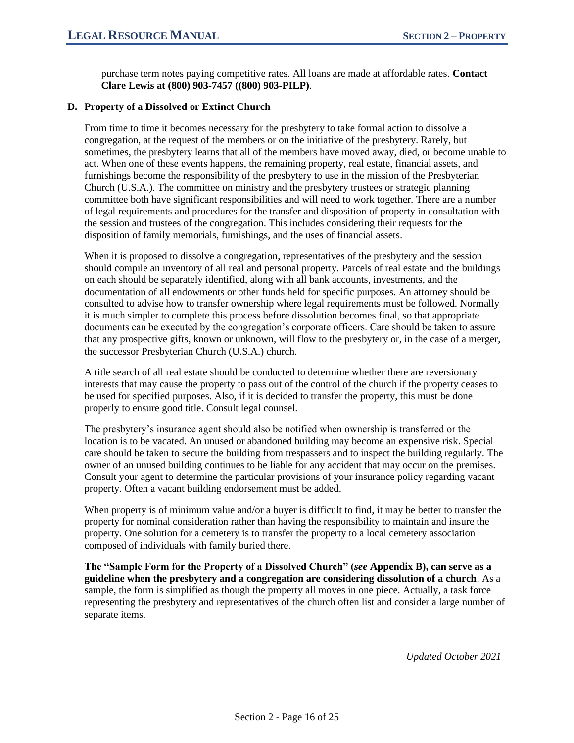purchase term notes paying competitive rates. All loans are made at affordable rates. **Contact Clare Lewis at (800) 903-7457 ((800) 903-PILP)**.

#### **D. Property of a Dissolved or Extinct Church**

From time to time it becomes necessary for the presbytery to take formal action to dissolve a congregation, at the request of the members or on the initiative of the presbytery. Rarely, but sometimes, the presbytery learns that all of the members have moved away, died, or become unable to act. When one of these events happens, the remaining property, real estate, financial assets, and furnishings become the responsibility of the presbytery to use in the mission of the Presbyterian Church (U.S.A.). The committee on ministry and the presbytery trustees or strategic planning committee both have significant responsibilities and will need to work together. There are a number of legal requirements and procedures for the transfer and disposition of property in consultation with the session and trustees of the congregation. This includes considering their requests for the disposition of family memorials, furnishings, and the uses of financial assets.

When it is proposed to dissolve a congregation, representatives of the presbytery and the session should compile an inventory of all real and personal property. Parcels of real estate and the buildings on each should be separately identified, along with all bank accounts, investments, and the documentation of all endowments or other funds held for specific purposes. An attorney should be consulted to advise how to transfer ownership where legal requirements must be followed. Normally it is much simpler to complete this process before dissolution becomes final, so that appropriate documents can be executed by the congregation's corporate officers. Care should be taken to assure that any prospective gifts, known or unknown, will flow to the presbytery or, in the case of a merger, the successor Presbyterian Church (U.S.A.) church.

A title search of all real estate should be conducted to determine whether there are reversionary interests that may cause the property to pass out of the control of the church if the property ceases to be used for specified purposes. Also, if it is decided to transfer the property, this must be done properly to ensure good title. Consult legal counsel.

The presbytery's insurance agent should also be notified when ownership is transferred or the location is to be vacated. An unused or abandoned building may become an expensive risk. Special care should be taken to secure the building from trespassers and to inspect the building regularly. The owner of an unused building continues to be liable for any accident that may occur on the premises. Consult your agent to determine the particular provisions of your insurance policy regarding vacant property. Often a vacant building endorsement must be added.

When property is of minimum value and/or a buyer is difficult to find, it may be better to transfer the property for nominal consideration rather than having the responsibility to maintain and insure the property. One solution for a cemetery is to transfer the property to a local cemetery association composed of individuals with family buried there.

**The "Sample Form for the Property of a Dissolved Church" (***see* **Appendix B), can serve as a guideline when the presbytery and a congregation are considering dissolution of a church**. As a sample, the form is simplified as though the property all moves in one piece. Actually, a task force representing the presbytery and representatives of the church often list and consider a large number of separate items.

*Updated October 2021*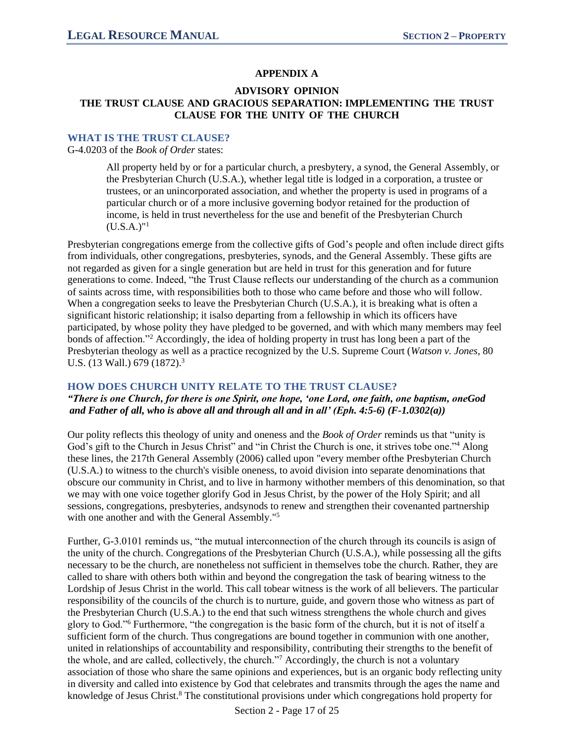# **APPENDIX A**

#### **ADVISORY OPINION THE TRUST CLAUSE AND GRACIOUS SEPARATION: IMPLEMENTING THE TRUST CLAUSE FOR THE UNITY OF THE CHURCH**

#### **WHAT IS THE TRUST CLAUSE?**

G-4.0203 of the *Book of Order* states:

All property held by or for a particular church, a presbytery, a synod, the General Assembly, or the Presbyterian Church (U.S.A.), whether legal title is lodged in a corporation, a trustee or trustees, or an unincorporated association, and whether the property is used in programs of a particular church or of a more inclusive governing bodyor retained for the production of income, is held in trust nevertheless for the use and benefit of the Presbyterian Church  $(U.S.A.)$ "<sup>1</sup>

Presbyterian congregations emerge from the collective gifts of God's people and often include direct gifts from individuals, other congregations, presbyteries, synods, and the General Assembly. These gifts are not regarded as given for a single generation but are held in trust for this generation and for future generations to come. Indeed, "the Trust Clause reflects our understanding of the church as a communion of saints across time, with responsibilities both to those who came before and those who will follow. When a congregation seeks to leave the Presbyterian Church (U.S.A.), it is breaking what is often a significant historic relationship; it isalso departing from a fellowship in which its officers have participated, by whose polity they have pledged to be governed, and with which many members may feel bonds of affection."<sup>2</sup> Accordingly, the idea of holding property in trust has long been a part of the Presbyterian theology as well as a practice recognized by the U.S. Supreme Court (*Watson v. Jones*, 80 U.S. (13 Wall.) 679 (1872).<sup>3</sup>

#### **HOW DOES CHURCH UNITY RELATE TO THE TRUST CLAUSE?**

*"There is one Church, for there is one Spirit, one hope, 'one Lord, one faith, one baptism, oneGod and Father of all, who is above all and through all and in all' (Eph. 4:5-6) (F-1.0302(a))*

Our polity reflects this theology of unity and oneness and the *Book of Order* reminds us that "unity is God's gift to the Church in Jesus Christ" and "in Christ the Church is one, it strives tobe one."<sup>4</sup> Along these lines, the 217th General Assembly (2006) called upon "every member ofthe Presbyterian Church (U.S.A.) to witness to the church's visible oneness, to avoid division into separate denominations that obscure our community in Christ, and to live in harmony withother members of this denomination, so that we may with one voice together glorify God in Jesus Christ, by the power of the Holy Spirit; and all sessions, congregations, presbyteries, andsynods to renew and strengthen their covenanted partnership with one another and with the General Assembly."<sup>5</sup>

Further, G-3.0101 reminds us, "the mutual interconnection of the church through its councils is asign of the unity of the church. Congregations of the Presbyterian Church (U.S.A.), while possessing all the gifts necessary to be the church, are nonetheless not sufficient in themselves tobe the church. Rather, they are called to share with others both within and beyond the congregation the task of bearing witness to the Lordship of Jesus Christ in the world. This call tobear witness is the work of all believers. The particular responsibility of the councils of the church is to nurture, guide, and govern those who witness as part of the Presbyterian Church (U.S.A.) to the end that such witness strengthens the whole church and gives glory to God."<sup>6</sup> Furthermore, "the congregation is the basic form of the church, but it is not of itself a sufficient form of the church. Thus congregations are bound together in communion with one another, united in relationships of accountability and responsibility, contributing their strengths to the benefit of the whole, and are called, collectively, the church."<sup>7</sup> Accordingly, the church is not a voluntary association of those who share the same opinions and experiences, but is an organic body reflecting unity in diversity and called into existence by God that celebrates and transmits through the ages the name and knowledge of Jesus Christ.<sup>8</sup> The constitutional provisions under which congregations hold property for

Section 2 - Page 17 of 25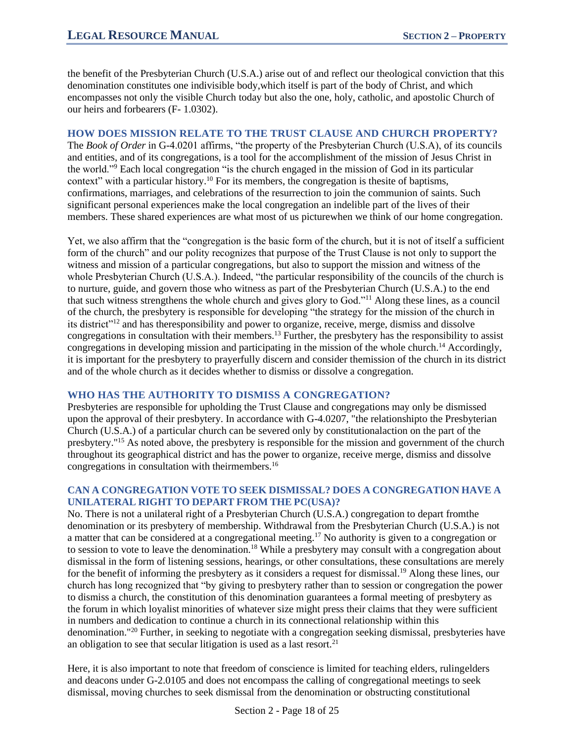the benefit of the Presbyterian Church (U.S.A.) arise out of and reflect our theological conviction that this denomination constitutes one indivisible body,which itself is part of the body of Christ, and which encompasses not only the visible Church today but also the one, holy, catholic, and apostolic Church of our heirs and forbearers (F- 1.0302).

# **HOW DOES MISSION RELATE TO THE TRUST CLAUSE AND CHURCH PROPERTY?**

The *Book of Order* in G-4.0201 affirms, "the property of the Presbyterian Church (U.S.A), of its councils and entities, and of its congregations, is a tool for the accomplishment of the mission of Jesus Christ in the world."<sup>9</sup> Each local congregation "is the church engaged in the mission of God in its particular context" with a particular history.<sup>10</sup> For its members, the congregation is thesite of baptisms, confirmations, marriages, and celebrations of the resurrection to join the communion of saints. Such significant personal experiences make the local congregation an indelible part of the lives of their members. These shared experiences are what most of us picturewhen we think of our home congregation.

Yet, we also affirm that the "congregation is the basic form of the church, but it is not of itself a sufficient form of the church" and our polity recognizes that purpose of the Trust Clause is not only to support the witness and mission of a particular congregations, but also to support the mission and witness of the whole Presbyterian Church (U.S.A.). Indeed, "the particular responsibility of the councils of the church is to nurture, guide, and govern those who witness as part of the Presbyterian Church (U.S.A.) to the end that such witness strengthens the whole church and gives glory to God."<sup>11</sup> Along these lines, as a council of the church, the presbytery is responsible for developing "the strategy for the mission of the church in its district"<sup>12</sup> and has theresponsibility and power to organize, receive, merge, dismiss and dissolve congregations in consultation with their members.<sup>13</sup> Further, the presbytery has the responsibility to assist congregations in developing mission and participating in the mission of the whole church.<sup>14</sup> Accordingly, it is important for the presbytery to prayerfully discern and consider themission of the church in its district and of the whole church as it decides whether to dismiss or dissolve a congregation.

# **WHO HAS THE AUTHORITY TO DISMISS A CONGREGATION?**

Presbyteries are responsible for upholding the Trust Clause and congregations may only be dismissed upon the approval of their presbytery. In accordance with G-4.0207, "the relationshipto the Presbyterian Church (U.S.A.) of a particular church can be severed only by constitutionalaction on the part of the presbytery."<sup>15</sup> As noted above, the presbytery is responsible for the mission and government of the church throughout its geographical district and has the power to organize, receive merge, dismiss and dissolve congregations in consultation with theirmembers.<sup>16</sup>

### **CAN A CONGREGATION VOTE TO SEEK DISMISSAL? DOES A CONGREGATION HAVE A UNILATERAL RIGHT TO DEPART FROM THE PC(USA)?**

No. There is not a unilateral right of a Presbyterian Church (U.S.A.) congregation to depart fromthe denomination or its presbytery of membership. Withdrawal from the Presbyterian Church (U.S.A.) is not a matter that can be considered at a congregational meeting.<sup>17</sup> No authority is given to a congregation or to session to vote to leave the denomination.<sup>18</sup> While a presbytery may consult with a congregation about dismissal in the form of listening sessions, hearings, or other consultations, these consultations are merely for the benefit of informing the presbytery as it considers a request for dismissal.<sup>19</sup> Along these lines, our church has long recognized that "by giving to presbytery rather than to session or congregation the power to dismiss a church, the constitution of this denomination guarantees a formal meeting of presbytery as the forum in which loyalist minorities of whatever size might press their claims that they were sufficient in numbers and dedication to continue a church in its connectional relationship within this denomination."<sup>20</sup> Further, in seeking to negotiate with a congregation seeking dismissal, presbyteries have an obligation to see that secular litigation is used as a last resort.<sup>21</sup>

Here, it is also important to note that freedom of conscience is limited for teaching elders, rulingelders and deacons under G-2.0105 and does not encompass the calling of congregational meetings to seek dismissal, moving churches to seek dismissal from the denomination or obstructing constitutional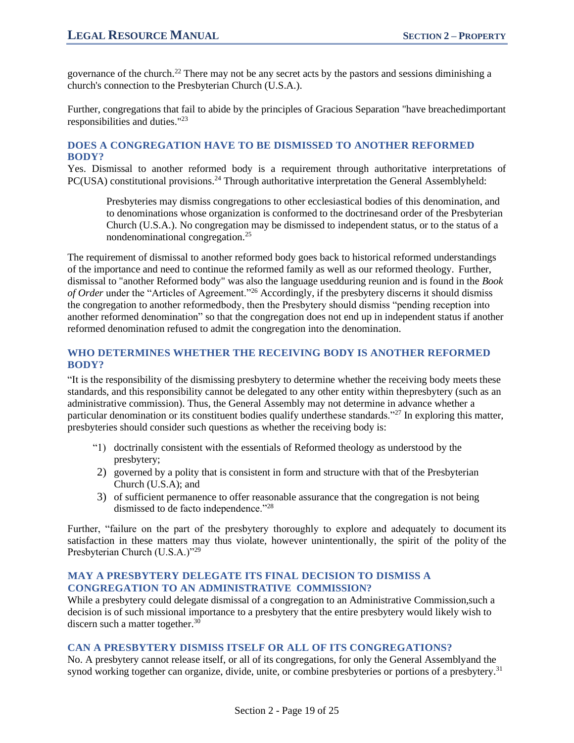governance of the church.<sup>22</sup> There may not be any secret acts by the pastors and sessions diminishing a church's connection to the Presbyterian Church (U.S.A.).

Further, congregations that fail to abide by the principles of Gracious Separation "have breachedimportant responsibilities and duties."<sup>23</sup>

### **DOES A CONGREGATION HAVE TO BE DISMISSED TO ANOTHER REFORMED BODY?**

Yes. Dismissal to another reformed body is a requirement through authoritative interpretations of PC(USA) constitutional provisions.<sup>24</sup> Through authoritative interpretation the General Assemblyheld:

Presbyteries may dismiss congregations to other ecclesiastical bodies of this denomination, and to denominations whose organization is conformed to the doctrinesand order of the Presbyterian Church (U.S.A.). No congregation may be dismissed to independent status, or to the status of a nondenominational congregation.<sup>25</sup>

The requirement of dismissal to another reformed body goes back to historical reformed understandings of the importance and need to continue the reformed family as well as our reformed theology. Further, dismissal to "another Reformed body" was also the language usedduring reunion and is found in the *Book of Order* under the "Articles of Agreement."<sup>26</sup> Accordingly, if the presbytery discerns it should dismiss the congregation to another reformedbody, then the Presbytery should dismiss "pending reception into another reformed denomination" so that the congregation does not end up in independent status if another reformed denomination refused to admit the congregation into the denomination.

#### **WHO DETERMINES WHETHER THE RECEIVING BODY IS ANOTHER REFORMED BODY?**

"It is the responsibility of the dismissing presbytery to determine whether the receiving body meets these standards, and this responsibility cannot be delegated to any other entity within thepresbytery (such as an administrative commission). Thus, the General Assembly may not determine in advance whether a particular denomination or its constituent bodies qualify underthese standards."<sup>27</sup> In exploring this matter, presbyteries should consider such questions as whether the receiving body is:

- "1) doctrinally consistent with the essentials of Reformed theology as understood by the presbytery;
- 2) governed by a polity that is consistent in form and structure with that of the Presbyterian Church (U.S.A); and
- 3) of sufficient permanence to offer reasonable assurance that the congregation is not being dismissed to de facto independence."<sup>28</sup>

Further, "failure on the part of the presbytery thoroughly to explore and adequately to document its satisfaction in these matters may thus violate, however unintentionally, the spirit of the polity of the Presbyterian Church (U.S.A.)"<sup>29</sup>

#### **MAY A PRESBYTERY DELEGATE ITS FINAL DECISION TO DISMISS A CONGREGATION TO AN ADMINISTRATIVE COMMISSION?**

While a presbytery could delegate dismissal of a congregation to an Administrative Commission,such a decision is of such missional importance to a presbytery that the entire presbytery would likely wish to discern such a matter together.<sup>30</sup>

#### **CAN A PRESBYTERY DISMISS ITSELF OR ALL OF ITS CONGREGATIONS?**

No. A presbytery cannot release itself, or all of its congregations, for only the General Assemblyand the synod working together can organize, divide, unite, or combine presbyteries or portions of a presbytery.<sup>31</sup>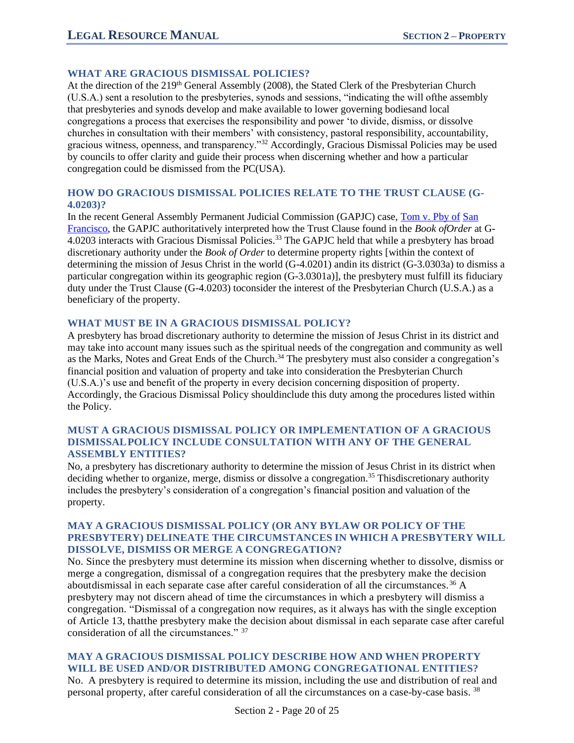# **WHAT ARE GRACIOUS DISMISSAL POLICIES?**

At the direction of the 219<sup>th</sup> General Assembly (2008), the Stated Clerk of the Presbyterian Church (U.S.A.) sent a resolution to the presbyteries, synods and sessions, "indicating the will ofthe assembly that presbyteries and synods develop and make available to lower governing bodiesand local congregations a process that exercises the responsibility and power 'to divide, dismiss, or dissolve churches in consultation with their members' with consistency, pastoral responsibility, accountability, gracious witness, openness, and transparency."<sup>32</sup> Accordingly, Gracious Dismissal Policies may be used by councils to offer clarity and guide their process when discerning whether and how a particular congregation could be dismissed from the PC(USA).

### **HOW DO GRACIOUS DISMISSAL POLICIES RELATE TO THE TRUST CLAUSE (G-4.0203)?**

In the recent General Assembly Permanent Judicial Commission (GAPJC) case, Tom v. Pby of San Francisco, the GAPJC authoritatively interpreted how the Trust Clause found in the *Book ofOrder* at G-4.0203 interacts with Gracious Dismissal Policies.<sup>33</sup> The GAPJC held that while a presbytery has broad discretionary authority under the *Book of Order* to determine property rights [within the context of determining the mission of Jesus Christ in the world (G-4.0201) andin its district (G-3.0303a) to dismiss a particular congregation within its geographic region (G-3.0301a)], the presbytery must fulfill its fiduciary duty under the Trust Clause (G-4.0203) toconsider the interest of the Presbyterian Church (U.S.A.) as a beneficiary of the property.

#### **WHAT MUST BE IN A GRACIOUS DISMISSAL POLICY?**

A presbytery has broad discretionary authority to determine the mission of Jesus Christ in its district and may take into account many issues such as the spiritual needs of the congregation and community as well as the Marks, Notes and Great Ends of the Church.<sup>34</sup> The presbytery must also consider a congregation's financial position and valuation of property and take into consideration the Presbyterian Church (U.S.A.)'s use and benefit of the property in every decision concerning disposition of property. Accordingly, the Gracious Dismissal Policy shouldinclude this duty among the procedures listed within the Policy.

#### **MUST A GRACIOUS DISMISSAL POLICY OR IMPLEMENTATION OF A GRACIOUS DISMISSALPOLICY INCLUDE CONSULTATION WITH ANY OF THE GENERAL ASSEMBLY ENTITIES?**

No, a presbytery has discretionary authority to determine the mission of Jesus Christ in its district when deciding whether to organize, merge, dismiss or dissolve a congregation.<sup>35</sup> Thisdiscretionary authority includes the presbytery's consideration of a congregation's financial position and valuation of the property.

### **MAY A GRACIOUS DISMISSAL POLICY (OR ANY BYLAW OR POLICY OF THE PRESBYTERY) DELINEATE THE CIRCUMSTANCES IN WHICH A PRESBYTERY WILL DISSOLVE, DISMISS OR MERGE A CONGREGATION?**

No. Since the presbytery must determine its mission when discerning whether to dissolve, dismiss or merge a congregation, dismissal of a congregation requires that the presbytery make the decision aboutdismissal in each separate case after careful consideration of all the circumstances. <sup>36</sup> A presbytery may not discern ahead of time the circumstances in which a presbytery will dismiss a congregation. "Dismissal of a congregation now requires, as it always has with the single exception of Article 13, thatthe presbytery make the decision about dismissal in each separate case after careful consideration of all the circumstances." 37

### **MAY A GRACIOUS DISMISSAL POLICY DESCRIBE HOW AND WHEN PROPERTY WILL BE USED AND/OR DISTRIBUTED AMONG CONGREGATIONAL ENTITIES?**

No. A presbytery is required to determine its mission, including the use and distribution of real and personal property, after careful consideration of all the circumstances on a case-by-case basis. <sup>38</sup>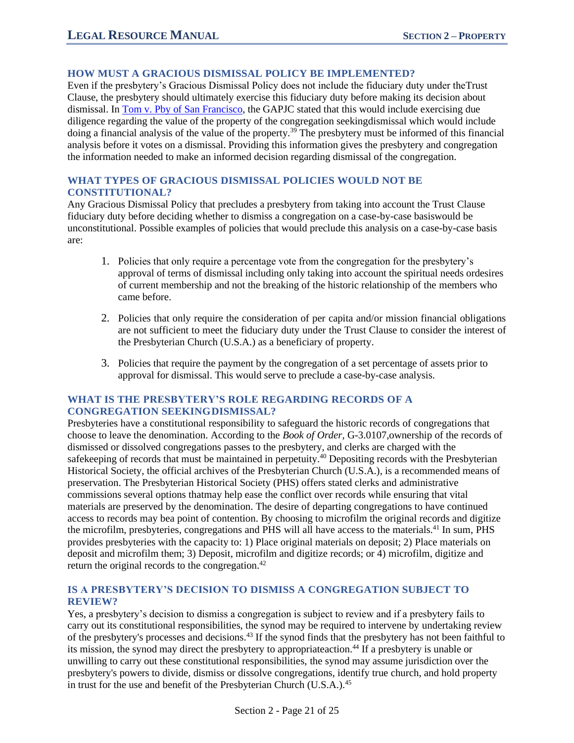### **HOW MUST A GRACIOUS DISMISSAL POLICY BE IMPLEMENTED?**

Even if the presbytery's Gracious Dismissal Policy does not include the fiduciary duty under theTrust Clause, the presbytery should ultimately exercise this fiduciary duty before making its decision about dismissal. In Tom v. Pby of San Francisco, the GAPJC stated that this would include exercising due diligence regarding the value of the property of the congregation seekingdismissal which would include doing a financial analysis of the value of the property.<sup>39</sup> The presbytery must be informed of this financial analysis before it votes on a dismissal. Providing this information gives the presbytery and congregation the information needed to make an informed decision regarding dismissal of the congregation.

# **WHAT TYPES OF GRACIOUS DISMISSAL POLICIES WOULD NOT BE CONSTITUTIONAL?**

Any Gracious Dismissal Policy that precludes a presbytery from taking into account the Trust Clause fiduciary duty before deciding whether to dismiss a congregation on a case-by-case basiswould be unconstitutional. Possible examples of policies that would preclude this analysis on a case-by-case basis are:

- 1. Policies that only require a percentage vote from the congregation for the presbytery's approval of terms of dismissal including only taking into account the spiritual needs ordesires of current membership and not the breaking of the historic relationship of the members who came before.
- 2. Policies that only require the consideration of per capita and/or mission financial obligations are not sufficient to meet the fiduciary duty under the Trust Clause to consider the interest of the Presbyterian Church (U.S.A.) as a beneficiary of property.
- 3. Policies that require the payment by the congregation of a set percentage of assets prior to approval for dismissal. This would serve to preclude a case-by-case analysis.

#### **WHAT IS THE PRESBYTERY'S ROLE REGARDING RECORDS OF A CONGREGATION SEEKINGDISMISSAL?**

Presbyteries have a constitutional responsibility to safeguard the historic records of congregations that choose to leave the denomination. According to the *Book of Order*, G-3.0107,ownership of the records of dismissed or dissolved congregations passes to the presbytery, and clerks are charged with the safekeeping of records that must be maintained in perpetuity.<sup>40</sup> Depositing records with the Presbyterian Historical Society, the official archives of the Presbyterian Church (U.S.A.), is a recommended means of preservation. The Presbyterian Historical Society (PHS) offers stated clerks and administrative commissions several options thatmay help ease the conflict over records while ensuring that vital materials are preserved by the denomination. The desire of departing congregations to have continued access to records may bea point of contention. By choosing to microfilm the original records and digitize the microfilm, presbyteries, congregations and PHS will all have access to the materials.<sup>41</sup> In sum, PHS provides presbyteries with the capacity to: 1) Place original materials on deposit; 2) Place materials on deposit and microfilm them; 3) Deposit, microfilm and digitize records; or 4) microfilm, digitize and return the original records to the congregation.<sup>42</sup>

### **IS A PRESBYTERY'S DECISION TO DISMISS A CONGREGATION SUBJECT TO REVIEW?**

Yes, a presbytery's decision to dismiss a congregation is subject to review and if a presbytery fails to carry out its constitutional responsibilities, the synod may be required to intervene by undertaking review of the presbytery's processes and decisions.<sup>43</sup> If the synod finds that the presbytery has not been faithful to its mission, the synod may direct the presbytery to appropriate action.<sup>44</sup> If a presbytery is unable or unwilling to carry out these constitutional responsibilities, the synod may assume jurisdiction over the presbytery's powers to divide, dismiss or dissolve congregations, identify true church, and hold property in trust for the use and benefit of the Presbyterian Church (U.S.A.).<sup>45</sup>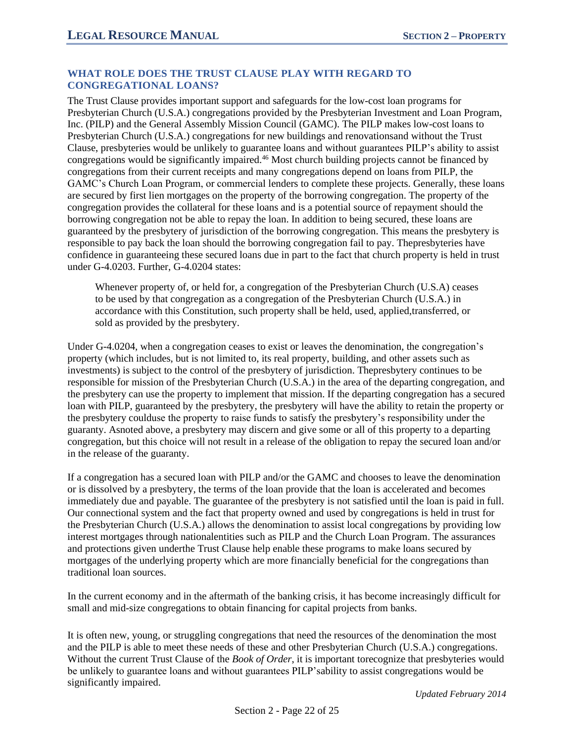#### **WHAT ROLE DOES THE TRUST CLAUSE PLAY WITH REGARD TO CONGREGATIONAL LOANS?**

The Trust Clause provides important support and safeguards for the low-cost loan programs for Presbyterian Church (U.S.A.) congregations provided by the Presbyterian Investment and Loan Program, Inc. (PILP) and the General Assembly Mission Council (GAMC). The PILP makes low-cost loans to Presbyterian Church (U.S.A.) congregations for new buildings and renovationsand without the Trust Clause, presbyteries would be unlikely to guarantee loans and without guarantees PILP's ability to assist congregations would be significantly impaired.<sup>46</sup> Most church building projects cannot be financed by congregations from their current receipts and many congregations depend on loans from PILP, the GAMC's Church Loan Program, or commercial lenders to complete these projects. Generally, these loans are secured by first lien mortgages on the property of the borrowing congregation. The property of the congregation provides the collateral for these loans and is a potential source of repayment should the borrowing congregation not be able to repay the loan. In addition to being secured, these loans are guaranteed by the presbytery of jurisdiction of the borrowing congregation. This means the presbytery is responsible to pay back the loan should the borrowing congregation fail to pay. Thepresbyteries have confidence in guaranteeing these secured loans due in part to the fact that church property is held in trust under G-4.0203. Further, G-4.0204 states:

Whenever property of, or held for, a congregation of the Presbyterian Church (U.S.A) ceases to be used by that congregation as a congregation of the Presbyterian Church (U.S.A.) in accordance with this Constitution, such property shall be held, used, applied,transferred, or sold as provided by the presbytery.

Under G-4.0204, when a congregation ceases to exist or leaves the denomination, the congregation's property (which includes, but is not limited to, its real property, building, and other assets such as investments) is subject to the control of the presbytery of jurisdiction. Thepresbytery continues to be responsible for mission of the Presbyterian Church (U.S.A.) in the area of the departing congregation, and the presbytery can use the property to implement that mission. If the departing congregation has a secured loan with PILP, guaranteed by the presbytery, the presbytery will have the ability to retain the property or the presbytery coulduse the property to raise funds to satisfy the presbytery's responsibility under the guaranty. Asnoted above, a presbytery may discern and give some or all of this property to a departing congregation, but this choice will not result in a release of the obligation to repay the secured loan and/or in the release of the guaranty.

If a congregation has a secured loan with PILP and/or the GAMC and chooses to leave the denomination or is dissolved by a presbytery, the terms of the loan provide that the loan is accelerated and becomes immediately due and payable. The guarantee of the presbytery is not satisfied until the loan is paid in full. Our connectional system and the fact that property owned and used by congregations is held in trust for the Presbyterian Church (U.S.A.) allows the denomination to assist local congregations by providing low interest mortgages through nationalentities such as PILP and the Church Loan Program. The assurances and protections given underthe Trust Clause help enable these programs to make loans secured by mortgages of the underlying property which are more financially beneficial for the congregations than traditional loan sources.

In the current economy and in the aftermath of the banking crisis, it has become increasingly difficult for small and mid-size congregations to obtain financing for capital projects from banks.

It is often new, young, or struggling congregations that need the resources of the denomination the most and the PILP is able to meet these needs of these and other Presbyterian Church (U.S.A.) congregations. Without the current Trust Clause of the *Book of Order*, it is important torecognize that presbyteries would be unlikely to guarantee loans and without guarantees PILP'sability to assist congregations would be significantly impaired.

*Updated February 2014*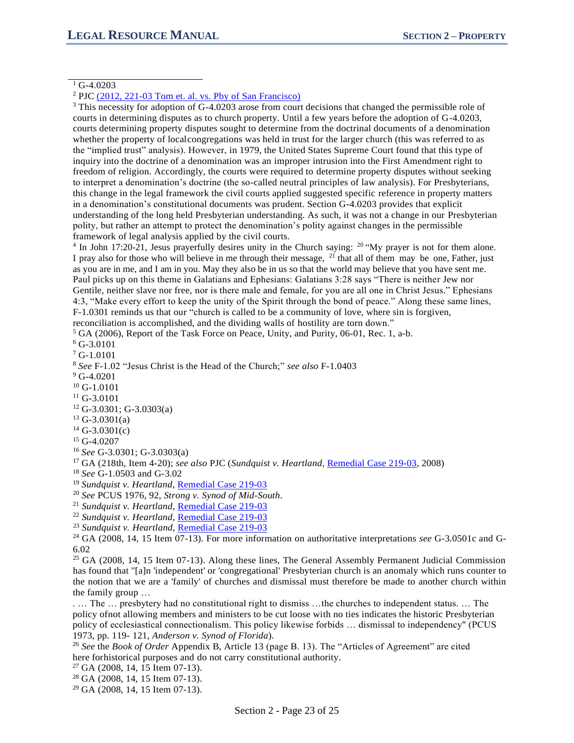#### $1$  G-4.0203

<sup>3</sup> This necessity for adoption of G-4.0203 arose from court decisions that changed the permissible role of courts in determining disputes as to church property. Until a few years before the adoption of G-4.0203, courts determining property disputes sought to determine from the doctrinal documents of a denomination whether the property of localcongregations was held in trust for the larger church (this was referred to as the "implied trust" analysis). However, in 1979, the United States Supreme Court found that this type of inquiry into the doctrine of a denomination was an improper intrusion into the First Amendment right to freedom of religion. Accordingly, the courts were required to determine property disputes without seeking to interpret a denomination's doctrine (the so-called neutral principles of law analysis). For Presbyterians, this change in the legal framework the civil courts applied suggested specific reference in property matters in a denomination's constitutional documents was prudent. Section G-4.0203 provides that explicit understanding of the long held Presbyterian understanding. As such, it was not a change in our Presbyterian polity, but rather an attempt to protect the denomination's polity against changes in the permissible framework of legal analysis applied by the civil courts.

<sup>4</sup> In John 17:20-21, Jesus prayerfully desires unity in the Church saying:  $20$  "My prayer is not for them alone. I pray also for those who will believe in me through their message, <sup>21</sup> that all of them may be one, Father, just as you are in me, and I am in you. May they also be in us so that the world may believe that you have sent me. Paul picks up on this theme in Galatians and Ephesians: Galatians 3:28 says "There is neither Jew nor Gentile, neither slave nor free, nor is there male and female, for you are all one in Christ Jesus." Ephesians 4:3, "Make every effort to keep the unity of the Spirit through the bond of peace." Along these same lines, F-1.0301 reminds us that our "church is called to be a community of love, where sin is forgiven,

reconciliation is accomplished, and the dividing walls of hostility are torn down."

 $<sup>5</sup>$  GA (2006), Report of the Task Force on Peace, Unity, and Purity, 06-01, Rec. 1, a-b.</sup>

 $6$  G-3.0101

<sup>7</sup> G-1.0101

<sup>9</sup> G-4.0201

 $10$  G-1.0101

<sup>11</sup> G-3.0101

- <sup>12</sup> G-3.0301; G-3.0303(a)
- $13$  G-3.0301(a)
- $14$  G-3.0301(c)

<sup>15</sup> G-4.0207

- <sup>16</sup> *See* G-3.0301; G-3.0303(a)
- <sup>17</sup> GA (218th, Item 4-20); *see also* PJC (*Sundquist v. Heartland*, Remedial Case 219-03, 2008)

<sup>18</sup> *See* G-1.0503 and G-3.02

<sup>19</sup> Sundquist v. Heartland, Remedial Case 219-03

<sup>20</sup> *See* PCUS 1976, 92, *Strong v. Synod of Mid-South*.

<sup>21</sup> *Sundquist v. Heartland*, Remedial Case 219-03

<sup>22</sup> *Sundquist v. Heartland*, Remedial Case 219-03

<sup>23</sup> *Sundquist v. Heartland*, Remedial Case 219-03

<sup>24</sup> GA (2008, 14, 15 Item 07-13). For more information on authoritative interpretations *see* G-3.0501c and G-6.02

<sup>25</sup> GA (2008, 14, 15 Item 07-13). Along these lines, The General Assembly Permanent Judicial Commission has found that "[a]n 'independent' or 'congregational' Presbyterian church is an anomaly which runs counter to the notion that we are a 'family' of churches and dismissal must therefore be made to another church within the family group …

. … The … presbytery had no constitutional right to dismiss …the churches to independent status. … The policy ofnot allowing members and ministers to be cut loose with no ties indicates the historic Presbyterian policy of ecclesiastical connectionalism. This policy likewise forbids … dismissal to independency" (PCUS 1973, pp. 119- 121, *Anderson v. Synod of Florida*).

<sup>26</sup> *See* the *Book of Order* Appendix B, Article 13 (page B. 13). The "Articles of Agreement" are cited here forhistorical purposes and do not carry constitutional authority.

<sup>27</sup> GA (2008, 14, 15 Item 07-13).

<sup>28</sup> GA (2008, 14, 15 Item 07-13).

 $29$  GA (2008, 14, 15 Item 07-13).

<sup>2</sup> PJC (2012, 221-03 Tom et. al. vs. Pby of San Francisco)

<sup>8</sup> *See* F-1.02 "Jesus Christ is the Head of the Church;" *see also* F-1.0403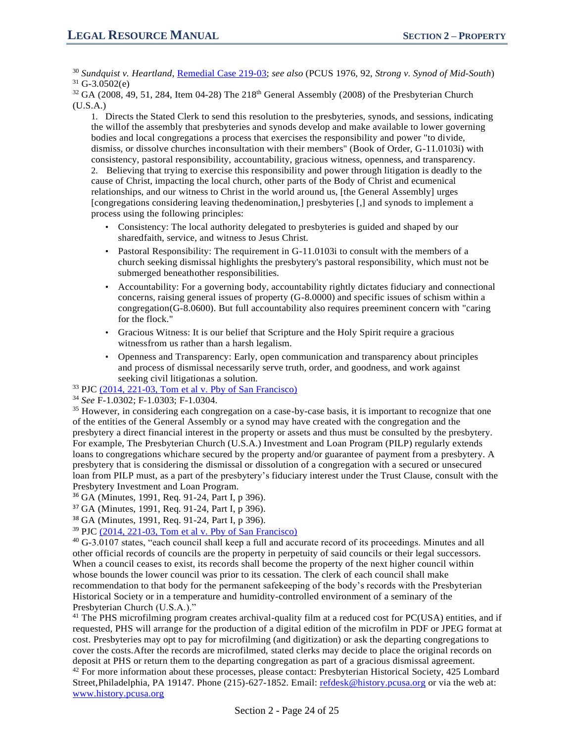<sup>30</sup> *Sundquist v. Heartland*, Remedial Case 219-03; *see also* (PCUS 1976, 92, *Strong v. Synod of Mid-South*)  $31$  G-3.0502(e)

 $32$  GA (2008, 49, 51, 284, Item 04-28) The 218<sup>th</sup> General Assembly (2008) of the Presbyterian Church  $(U.S.A.)$ 

1. Directs the Stated Clerk to send this resolution to the presbyteries, synods, and sessions, indicating the willof the assembly that presbyteries and synods develop and make available to lower governing bodies and local congregations a process that exercises the responsibility and power "to divide, dismiss, or dissolve churches inconsultation with their members" (Book of Order, G-11.0103i) with consistency, pastoral responsibility, accountability, gracious witness, openness, and transparency.

2. Believing that trying to exercise this responsibility and power through litigation is deadly to the cause of Christ, impacting the local church, other parts of the Body of Christ and ecumenical relationships, and our witness to Christ in the world around us, [the General Assembly] urges [congregations considering leaving thedenomination,] presbyteries [,] and synods to implement a process using the following principles:

- Consistency: The local authority delegated to presbyteries is guided and shaped by our sharedfaith, service, and witness to Jesus Christ.
- Pastoral Responsibility: The requirement in G-11.0103i to consult with the members of a church seeking dismissal highlights the presbytery's pastoral responsibility, which must not be submerged beneathother responsibilities.
- Accountability: For a governing body, accountability rightly dictates fiduciary and connectional concerns, raising general issues of property (G-8.0000) and specific issues of schism within a congregation(G-8.0600). But full accountability also requires preeminent concern with "caring for the flock."
- Gracious Witness: It is our belief that Scripture and the Holy Spirit require a gracious witnessfrom us rather than a harsh legalism.
- Openness and Transparency: Early, open communication and transparency about principles and process of dismissal necessarily serve truth, order, and goodness, and work against seeking civil litigationas a solution.

<sup>33</sup> PJC (2014, 221-03, Tom et al v. Pby of San Francisco)

<sup>34</sup> *See* F-1.0302; F-1.0303; F-1.0304.

<sup>35</sup> However, in considering each congregation on a case-by-case basis, it is important to recognize that one of the entities of the General Assembly or a synod may have created with the congregation and the presbytery a direct financial interest in the property or assets and thus must be consulted by the presbytery. For example, The Presbyterian Church (U.S.A.) Investment and Loan Program (PILP) regularly extends loans to congregations whichare secured by the property and/or guarantee of payment from a presbytery. A presbytery that is considering the dismissal or dissolution of a congregation with a secured or unsecured loan from PILP must, as a part of the presbytery's fiduciary interest under the Trust Clause, consult with the Presbytery Investment and Loan Program.

<sup>36</sup> GA (Minutes, 1991, Req. 91-24, Part I, p 396).

<sup>37</sup> GA (Minutes, 1991, Req. 91-24, Part I, p 396).

<sup>38</sup> GA (Minutes, 1991, Req. 91-24, Part I, p 396).

<sup>39</sup> PJC (2014, 221-03, Tom et al v. Pby of San Francisco)

 $40$  G-3.0107 states, "each council shall keep a full and accurate record of its proceedings. Minutes and all other official records of councils are the property in perpetuity of said councils or their legal successors. When a council ceases to exist, its records shall become the property of the next higher council within whose bounds the lower council was prior to its cessation. The clerk of each council shall make recommendation to that body for the permanent safekeeping of the body's records with the Presbyterian Historical Society or in a temperature and humidity-controlled environment of a seminary of the Presbyterian Church (U.S.A.)."

<sup>41</sup> The PHS microfilming program creates archival-quality film at a reduced cost for PC(USA) entities, and if requested, PHS will arrange for the production of a digital edition of the microfilm in PDF or JPEG format at cost. Presbyteries may opt to pay for microfilming (and digitization) or ask the departing congregations to cover the costs.After the records are microfilmed, stated clerks may decide to place the original records on deposit at PHS or return them to the departing congregation as part of a gracious dismissal agreement.

 $42$  For more information about these processes, please contact: Presbyterian Historical Society, 425 Lombard Street,Philadelphia, PA 19147. Phone (215)-627-1852. Email: refdesk@history.pcusa.org or via the web at: www.history.pcusa.org